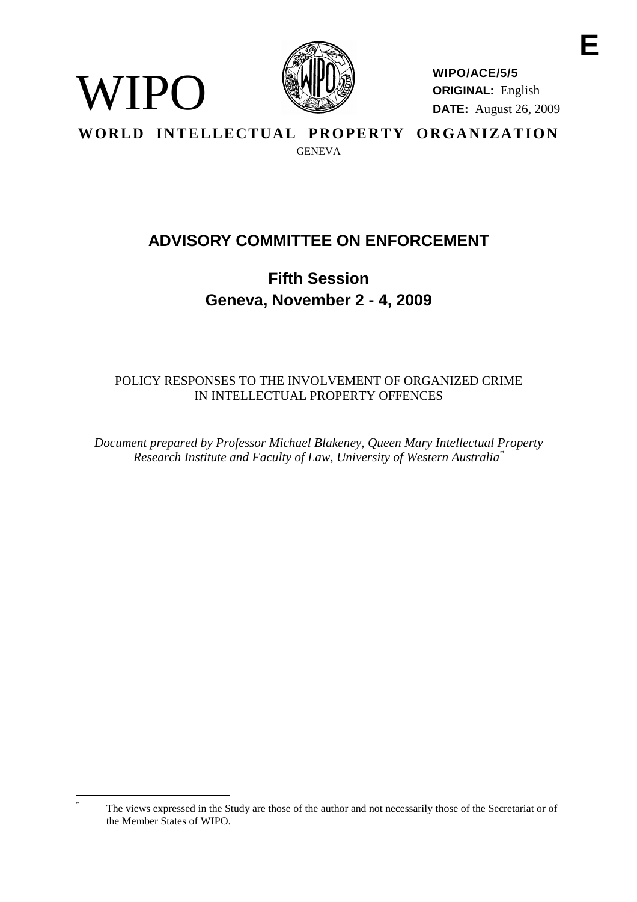

WIPO

**WIPO/ACE/5/5 ORIGINAL:** English **DATE:** August 26, 2009

**WORLD INTELLECTUAL PROPERTY ORGANIZATION GENEVA** 

# **ADVISORY COMMITTEE ON ENFORCEMENT**

**Fifth Session Geneva, November 2 - 4, 2009**

POLICY RESPONSES TO THE INVOLVEMENT OF ORGANIZED CRIME IN INTELLECTUAL PROPERTY OFFENCES

*Document prepared by Professor Michael Blakeney, Queen Mary Intellectual Property Research Institute and Faculty of Law, University of Western Australia\**

The views expressed in the Study are those of the author and not necessarily those of the Secretariat or of the Member States of WIPO.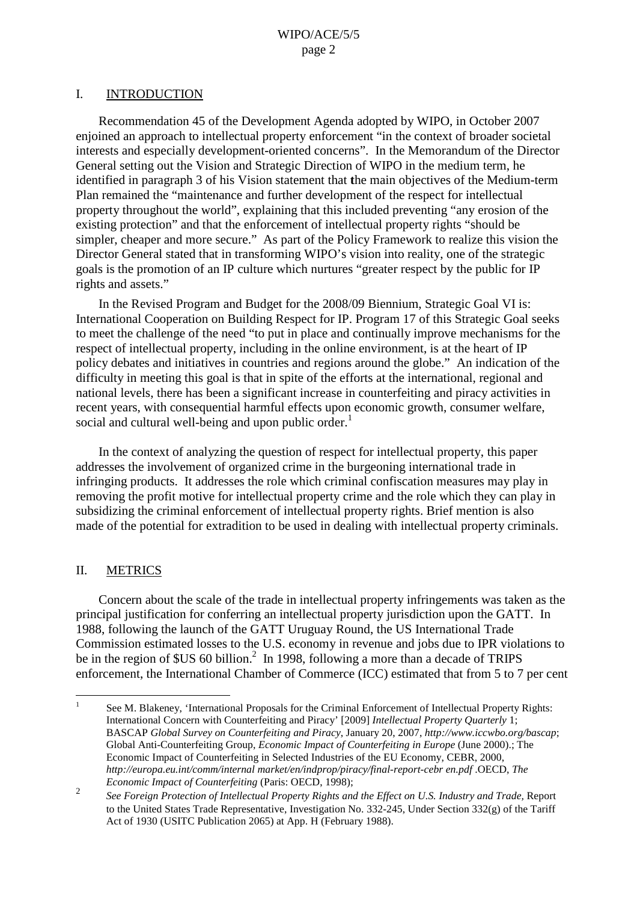#### I. INTRODUCTION

Recommendation 45 of the Development Agenda adopted by WIPO, in October 2007 enjoined an approach to intellectual property enforcement "in the context of broader societal interests and especially development-oriented concerns". In the Memorandum of the Director General setting out the Vision and Strategic Direction of WIPO in the medium term, he identified in paragraph 3 of his Vision statement that **t**he main objectives of the Medium-term Plan remained the "maintenance and further development of the respect for intellectual property throughout the world", explaining that this included preventing "any erosion of the existing protection" and that the enforcement of intellectual property rights "should be simpler, cheaper and more secure." As part of the Policy Framework to realize this vision the Director General stated that in transforming WIPO's vision into reality, one of the strategic goals is the promotion of an IP culture which nurtures "greater respect by the public for IP rights and assets."

In the Revised Program and Budget for the 2008/09 Biennium, Strategic Goal VI is: International Cooperation on Building Respect for IP. Program 17 of this Strategic Goal seeks to meet the challenge of the need "to put in place and continually improve mechanisms for the respect of intellectual property, including in the online environment, is at the heart of IP policy debates and initiatives in countries and regions around the globe." An indication of the difficulty in meeting this goal is that in spite of the efforts at the international, regional and national levels, there has been a significant increase in counterfeiting and piracy activities in recent years, with consequential harmful effects upon economic growth, consumer welfare, social and cultural well-being and upon public order.<sup>1</sup>

In the context of analyzing the question of respect for intellectual property, this paper addresses the involvement of organized crime in the burgeoning international trade in infringing products. It addresses the role which criminal confiscation measures may play in removing the profit motive for intellectual property crime and the role which they can play in subsidizing the criminal enforcement of intellectual property rights. Brief mention is also made of the potential for extradition to be used in dealing with intellectual property criminals.

## II. METRICS

Concern about the scale of the trade in intellectual property infringements was taken as the principal justification for conferring an intellectual property jurisdiction upon the GATT. In 1988, following the launch of the GATT Uruguay Round, the US International Trade Commission estimated losses to the U.S. economy in revenue and jobs due to IPR violations to be in the region of \$US 60 billion.<sup>2</sup> In 1998, following a more than a decade of TRIPS enforcement, the International Chamber of Commerce (ICC) estimated that from 5 to 7 per cent

<sup>&</sup>lt;sup>1</sup> See M. Blakeney, 'International Proposals for the Criminal Enforcement of Intellectual Property Rights: International Concern with Counterfeiting and Piracy' [2009] *Intellectual Property Quarterly* 1; BASCAP *Global Survey on Counterfeiting and Piracy*, January 20, 2007, *http://www.iccwbo.org/bascap*; Global Anti-Counterfeiting Group, *Economic Impact of Counterfeiting in Europe* (June 2000).; The Economic Impact of Counterfeiting in Selected Industries of the EU Economy, CEBR, 2000, *http://europa.eu.int/comm/internal market/en/indprop/piracy/final-report-cebr en.pdf* .OECD, *The Economic Impact of Counterfeiting* (Paris: OECD, 1998);

<sup>2</sup> *See Foreign Protection of Intellectual Property Rights and the Effect on U.S. Industry and Trade,* Report to the United States Trade Representative, Investigation No. 332-245, Under Section 332(g) of the Tariff Act of 1930 (USITC Publication 2065) at App. H (February 1988).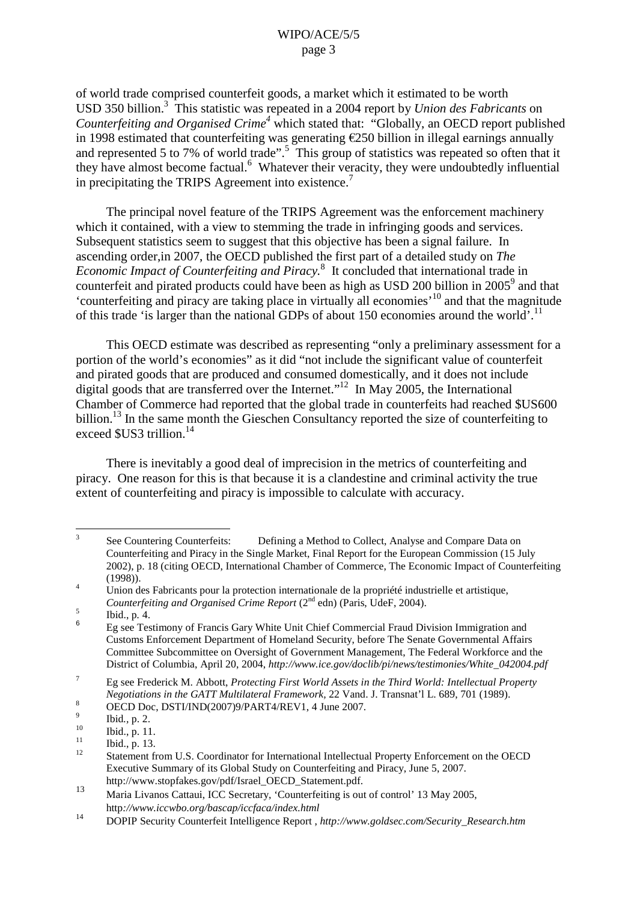of world trade comprised counterfeit goods, a market which it estimated to be worth USD 350 billion. <sup>3</sup> This statistic was repeated in a 2004 report by *Union des Fabricants* on *Counterfeiting and Organised Crime 4* which stated that: "Globally, an OECD report published in 1998 estimated that counterfeiting was generating €250 billion in illegal earnings annually and represented 5 to 7% of world trade".<sup>5</sup> This group of statistics was repeated so often that it they have almost become factual. <sup>6</sup> Whatever their veracity, they were undoubtedly influential in precipitating the TRIPS Agreement into existence.<sup>7</sup>

The principal novel feature of the TRIPS Agreement was the enforcement machinery which it contained, with a view to stemming the trade in infringing goods and services. Subsequent statistics seem to suggest that this objective has been a signal failure. In ascending order,in 2007, the OECD published the first part of a detailed study on *The Economic Impact of Counterfeiting and Piracy.* <sup>8</sup> It concluded that international trade in counterfeit and pirated products could have been as high as USD 200 billion in 2005<sup>9</sup> and that 'counterfeiting and piracy are taking place in virtually all economies' <sup>10</sup> and that the magnitude of this trade 'is larger than the national GDPs of about 150 economies around the world'.<sup>11</sup>

This OECD estimate was described as representing "only a preliminary assessment for a portion of the world's economies" as it did "not include the significant value of counterfeit and pirated goods that are produced and consumed domestically, and it does not include digital goods that are transferred over the Internet."<sup>12</sup> In May 2005, the International Chamber of Commerce had reported that the global trade in counterfeits had reached \$US600 billion.<sup>13</sup> In the same month the Gieschen Consultancy reported the size of counterfeiting to exceed \$US3 trillion.<sup>14</sup>

There is inevitably a good deal of imprecision in the metrics of counterfeiting and piracy. One reason for this is that because it is a clandestine and criminal activity the true extent of counterfeiting and piracy is impossible to calculate with accuracy.

<sup>&</sup>lt;sup>3</sup> See Countering Counterfeits: Defining a Method to Collect. Analyse and Compare Data on Counterfeiting and Piracy in the Single Market, Final Report for the European Commission (15 July 2002), p. 18 (citing OECD, International Chamber of Commerce, The Economic Impact of Counterfeiting

<sup>(1998)).&</sup>lt;br>
Union des Fabricants pour la protection internationale de la propriété industrielle et artistique,<br>
Counterfeiting and Organised Crime Report (2<sup>nd</sup> edn) (Paris, UdeF, 2004).

<sup>&</sup>lt;sup>5</sup><br><sup>6</sup> Ibid., p. 4. <sup>6</sup> Eg see Testimony of Francis Gary White Unit Chief Commercial Fraud Division Immigration and Customs Enforcement Department of Homeland Security, before The Senate Governmental Affairs Committee Subcommittee on Oversight of Government Management, The Federal Workforce and the District of Columbia, April 20, 2004, *http://www.ice.gov/doclib/pi/news/testimonies/White\_042004.pdf*

<sup>7</sup> Eg see Frederick M. Abbott, *Protecting First World Assets in the Third World: Intellectual Property Negotiations in the GATT Multilateral Framework, 22 Vand. J. Transnat'l L. 689, 701 (1989).*<br>
<sup>8</sup> OECD Doc, DSTI/IND(2007)9/PART4/REV1, 4 June 2007.<br>
<sup>10</sup> Ibid., p. 2.<br>
<sup>11</sup> Ibid., p. 13.<br>
<sup>12</sup> Statement from U.S. Coordin

Executive Summary of its Global Study on Counterfeiting and Piracy, June 5, 2007.

http://www.stopfakes.gov/pdf/Israel\_OECD\_Statement.pdf.<br>
Maria Livanos Cattaui, ICC Secretary, 'Counterfeiting is out of control' 13 May 2005, http*://www.iccwbo.org/bascap/iccfaca/index.html*

<sup>14</sup> DOPIP Security Counterfeit Intelligence Report , *http://www.goldsec.com/Security\_Research.htm*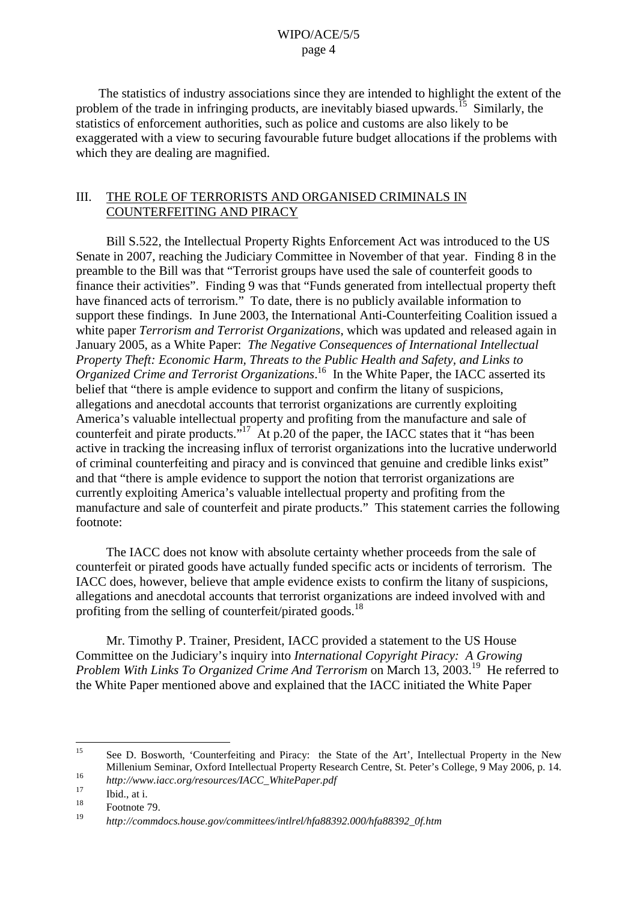The statistics of industry associations since they are intended to highlight the extent of the problem of the trade in infringing products, are inevitably biased upwards.<sup>15</sup> Similarly, the statistics of enforcement authorities, such as police and customs are also likely to be exaggerated with a view to securing favourable future budget allocations if the problems with which they are dealing are magnified.

## III. THE ROLE OF TERRORISTS AND ORGANISED CRIMINALS IN COUNTERFEITING AND PIRACY

Bill S.522, the Intellectual Property Rights Enforcement Act was introduced to the US Senate in 2007, reaching the Judiciary Committee in November of that year. Finding 8 in the preamble to the Bill was that "Terrorist groups have used the sale of counterfeit goods to finance their activities". Finding 9 was that "Funds generated from intellectual property theft have financed acts of terrorism." To date, there is no publicly available information to support these findings. In June 2003, the International Anti-Counterfeiting Coalition issued a white paper *Terrorism and Terrorist Organizations*, which was updated and released again in January 2005, as a White Paper: *The Negative Consequences of International Intellectual Property Theft: Economic Harm, Threats to the Public Health and Safety, and Links to Organized Crime and Terrorist Organizations*. <sup>16</sup> In the White Paper, the IACC asserted its belief that "there is ample evidence to support and confirm the litany of suspicions, allegations and anecdotal accounts that terrorist organizations are currently exploiting America's valuable intellectual property and profiting from the manufacture and sale of counterfeit and pirate products.<sup>317</sup> At p.20 of the paper, the IACC states that it "has been active in tracking the increasing influx of terrorist organizations into the lucrative underworld of criminal counterfeiting and piracy and is convinced that genuine and credible links exist" and that "there is ample evidence to support the notion that terrorist organizations are currently exploiting America's valuable intellectual property and profiting from the manufacture and sale of counterfeit and pirate products." This statement carries the following footnote:

The IACC does not know with absolute certainty whether proceeds from the sale of counterfeit or pirated goods have actually funded specific acts or incidents of terrorism. The IACC does, however, believe that ample evidence exists to confirm the litany of suspicions, allegations and anecdotal accounts that terrorist organizations are indeed involved with and profiting from the selling of counterfeit/pirated goods.<sup>18</sup>

Mr. Timothy P. Trainer, President, IACC provided a statement to the US House Committee on the Judiciary's inquiry into *International Copyright Piracy: A Growing Problem With Links To Organized Crime And Terrorism* on March 13, 2003. <sup>19</sup> He referred to the White Paper mentioned above and explained that the IACC initiated the White Paper

<sup>&</sup>lt;sup>15</sup> See D. Bosworth, 'Counterfeiting and Piracy: the State of the Art', Intellectual Property in the New Millenium Seminar, Oxford Intellectual Property Research Centre, St. Peter's College, 9 May 2006, p. 14.<br>*http://www.iacc.org/resources/IACC\_WhitePaper.pdf*<br> $\frac{17}{12}$ 

 $\frac{17}{18}$  Ibid., at i.

<sup>18</sup> Footnote 79. <sup>19</sup> *http://commdocs.house.gov/committees/intlrel/hfa88392.000/hfa88392\_0f.htm*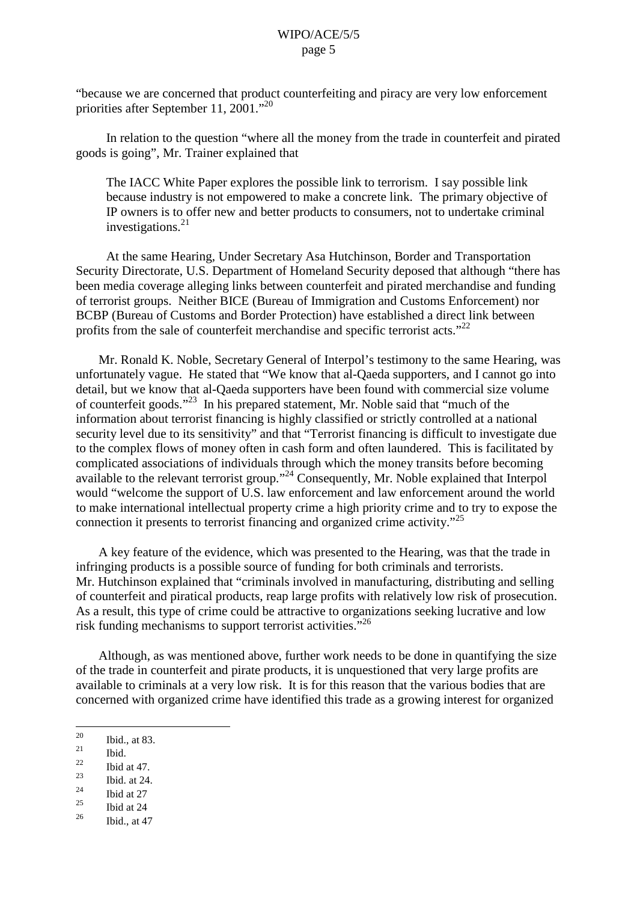"because we are concerned that product counterfeiting and piracy are very low enforcement priorities after September 11, 2001."<sup>20</sup>

In relation to the question "where all the money from the trade in counterfeit and pirated goods is going", Mr. Trainer explained that

The IACC White Paper explores the possible link to terrorism. I say possible link because industry is not empowered to make a concrete link. The primary objective of IP owners is to offer new and better products to consumers, not to undertake criminal investigations. 21

At the same Hearing, Under Secretary Asa Hutchinson, Border and Transportation Security Directorate, U.S. Department of Homeland Security deposed that although "there has been media coverage alleging links between counterfeit and pirated merchandise and funding of terrorist groups. Neither BICE (Bureau of Immigration and Customs Enforcement) nor BCBP (Bureau of Customs and Border Protection) have established a direct link between profits from the sale of counterfeit merchandise and specific terrorist acts."<sup>22</sup>

Mr. Ronald K. Noble, Secretary General of Interpol's testimony to the same Hearing, was unfortunately vague. He stated that "We know that al-Qaeda supporters, and I cannot go into detail, but we know that al-Qaeda supporters have been found with commercial size volume of counterfeit goods."<sup>23</sup> In his prepared statement, Mr. Noble said that "much of the information about terrorist financing is highly classified or strictly controlled at a national security level due to its sensitivity" and that "Terrorist financing is difficult to investigate due to the complex flows of money often in cash form and often laundered. This is facilitated by complicated associations of individuals through which the money transits before becoming available to the relevant terrorist group."<sup>24</sup> Consequently, Mr. Noble explained that Interpol would "welcome the support of U.S. law enforcement and law enforcement around the world to make international intellectual property crime a high priority crime and to try to expose the connection it presents to terrorist financing and organized crime activity." 25

A key feature of the evidence, which was presented to the Hearing, was that the trade in infringing products is a possible source of funding for both criminals and terrorists. Mr. Hutchinson explained that "criminals involved in manufacturing, distributing and selling of counterfeit and piratical products, reap large profits with relatively low risk of prosecution. As a result, this type of crime could be attractive to organizations seeking lucrative and low risk funding mechanisms to support terrorist activities."<sup>26</sup>

Although, as was mentioned above, further work needs to be done in quantifying the size of the trade in counterfeit and pirate products, it is unquestioned that very large profits are available to criminals at a very low risk. It is for this reason that the various bodies that are concerned with organized crime have identified this trade as a growing interest for organized

- 
- <sup>22</sup> Ibid at 47.<br>
<sup>23</sup> Ibid. at 24.<br>
<sup>25</sup> Ibid at 27
- 
- 
- $\frac{25}{26}$  Ibid at 24
- Ibid., at 47

 $\frac{20}{21}$  Ibid., at 83.<br>  $\frac{21}{22}$  Ibid.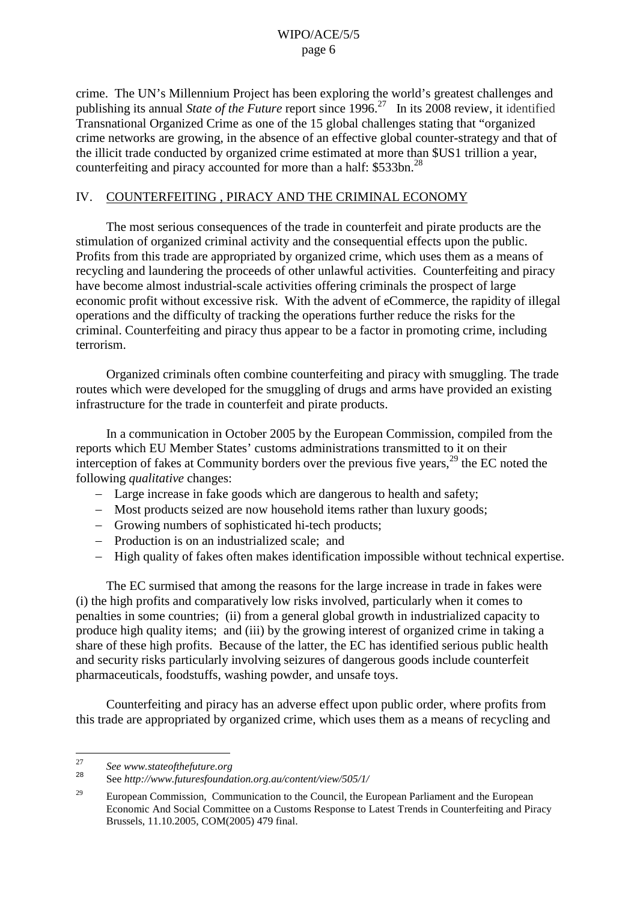crime. The UN's Millennium Project has been exploring the world's greatest challenges and publishing its annual *State of the Future* report since 1996. <sup>27</sup> In its 2008 review, it identified Transnational Organized Crime as one of the 15 global challenges stating that "organized crime networks are growing, in the absence of an effective global counter-strategy and that of the illicit trade conducted by organized crime estimated at more than \$US1 trillion a year, counterfeiting and piracy accounted for more than a half: \$533bn.<sup>28</sup>

# IV. COUNTERFEITING , PIRACY AND THE CRIMINAL ECONOMY

The most serious consequences of the trade in counterfeit and pirate products are the stimulation of organized criminal activity and the consequential effects upon the public. Profits from this trade are appropriated by organized crime, which uses them as a means of recycling and laundering the proceeds of other unlawful activities. Counterfeiting and piracy have become almost industrial-scale activities offering criminals the prospect of large economic profit without excessive risk. With the advent of eCommerce, the rapidity of illegal operations and the difficulty of tracking the operations further reduce the risks for the criminal. Counterfeiting and piracy thus appear to be a factor in promoting crime, including terrorism.

Organized criminals often combine counterfeiting and piracy with smuggling. The trade routes which were developed for the smuggling of drugs and arms have provided an existing infrastructure for the trade in counterfeit and pirate products.

In a communication in October 2005 by the European Commission, compiled from the reports which EU Member States' customs administrations transmitted to it on their interception of fakes at Community borders over the previous five years,<sup>29</sup> the EC noted the following *qualitative* changes:

- Large increase in fake goods which are dangerous to health and safety;
- Most products seized are now household items rather than luxury goods;
- Growing numbers of sophisticated hi-tech products;
- Production is on an industrialized scale; and
- High quality of fakes often makes identification impossible without technical expertise.

The EC surmised that among the reasons for the large increase in trade in fakes were (i) the high profits and comparatively low risks involved, particularly when it comes to penalties in some countries; (ii) from a general global growth in industrialized capacity to produce high quality items; and (iii) by the growing interest of organized crime in taking a share of these high profits. Because of the latter, the EC has identified serious public health and security risks particularly involving seizures of dangerous goods include counterfeit pharmaceuticals, foodstuffs, washing powder, and unsafe toys.

Counterfeiting and piracy has an adverse effect upon public order, where profits from this trade are appropriated by organized crime, which uses them as a means of recycling and

<sup>27</sup> *See www.stateofthefuture.org*

<sup>28</sup> See *http://www.futuresfoundation.org.au/content/view/505/1/*

<sup>&</sup>lt;sup>29</sup> European Commission, Communication to the Council, the European Parliament and the European Economic And Social Committee on a Customs Response to Latest Trends in Counterfeiting and Piracy Brussels, 11.10.2005, COM(2005) 479 final.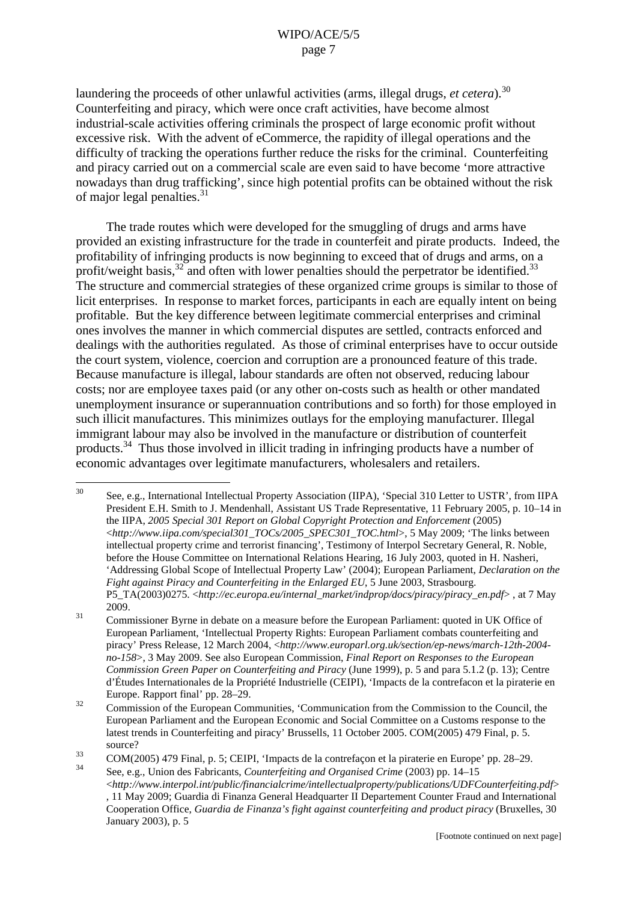laundering the proceeds of other unlawful activities (arms, illegal drugs, *et cetera*). 30 Counterfeiting and piracy, which were once craft activities, have become almost industrial-scale activities offering criminals the prospect of large economic profit without excessive risk. With the advent of eCommerce, the rapidity of illegal operations and the difficulty of tracking the operations further reduce the risks for the criminal. Counterfeiting and piracy carried out on a commercial scale are even said to have become 'more attractive nowadays than drug trafficking', since high potential profits can be obtained without the risk of major legal penalties.<sup>31</sup>

The trade routes which were developed for the smuggling of drugs and arms have provided an existing infrastructure for the trade in counterfeit and pirate products. Indeed, the profitability of infringing products is now beginning to exceed that of drugs and arms, on a profit/weight basis,  $32 \text{ and often with lower penalties should the perpetator be identified.}$ The structure and commercial strategies of these organized crime groups is similar to those of licit enterprises. In response to market forces, participants in each are equally intent on being profitable. But the key difference between legitimate commercial enterprises and criminal ones involves the manner in which commercial disputes are settled, contracts enforced and dealings with the authorities regulated. As those of criminal enterprises have to occur outside the court system, violence, coercion and corruption are a pronounced feature of this trade. Because manufacture is illegal, labour standards are often not observed, reducing labour costs; nor are employee taxes paid (or any other on-costs such as health or other mandated unemployment insurance or superannuation contributions and so forth) for those employed in such illicit manufactures. This minimizes outlays for the employing manufacturer. Illegal immigrant labour may also be involved in the manufacture or distribution of counterfeit products.<sup>34</sup> Thus those involved in illicit trading in infringing products have a number of economic advantages over legitimate manufacturers, wholesalers and retailers.

<sup>30</sup> See, e.g., International Intellectual Property Association (IIPA), 'Special 310 Letter to USTR', from IIPA President E.H. Smith to J. Mendenhall, Assistant US Trade Representative, 11 February 2005, p. 10–14 in the IIPA, *2005 Special 301 Report on Global Copyright Protection and Enforcement* (2005) <*http://www.iipa.com/special301\_TOCs/2005\_SPEC301\_TOC.html*>, 5 May 2009; 'The links between intellectual property crime and terrorist financing', Testimony of Interpol Secretary General, R. Noble, before the House Committee on International Relations Hearing, 16 July 2003, quoted in H. Nasheri, 'Addressing Global Scope of Intellectual Property Law' (2004); European Parliament, *Declaration on the Fight against Piracy and Counterfeiting in the Enlarged EU*, 5 June 2003, Strasbourg. P5\_TA(2003)0275. <*http://ec.europa.eu/internal\_market/indprop/docs/piracy/piracy\_en.pdf*> , at 7 May

<sup>2009.&</sup>lt;br>
Commissioner Byrne in debate on a measure before the European Parliament: quoted in UK Office of European Parliament, 'Intellectual Property Rights: European Parliament combats counterfeiting and piracy' Press Release, 12 March 2004, <*http://www.europarl.org.uk/section/ep-news/march-12th-2004 no-158*>, 3 May 2009. See also European Commission, *Final Report on Responses to the European Commission Green Paper on Counterfeiting and Piracy* (June 1999), p. 5 and para 5.1.2 (p. 13); Centre d'Études Internationales de la Propriété Industrielle (CEIPI), 'Impacts de la contrefacon et la piraterie en

Europe. Rapport final' pp. 28–29.<br>Commission of the European Communities, 'Communication from the Commission to the Council, the European Parliament and the European Economic and Social Committee on a Customs response to the latest trends in Counterfeiting and piracy' Brussells, 11 October 2005. COM(2005) 479 Final, p. 5. source?

<sup>33</sup> COM(2005) <sup>479</sup> Final, p. 5; CEIPI, 'Impacts de la contrefaçon et la piraterie en Europe' pp. 28–29. <sup>34</sup> See, e.g., Union des Fabricants, *Counterfeiting and Organised Crime* (2003) pp. 14–15

<sup>&</sup>lt;*http://www.interpol.int/public/financialcrime/intellectualproperty/publications/UDFCounterfeiting.pdf*> , 11 May 2009; Guardia di Finanza General Headquarter II Departement Counter Fraud and International Cooperation Office, *Guardia de Finanza's fight against counterfeiting and product piracy* (Bruxelles, 30 January 2003), p. 5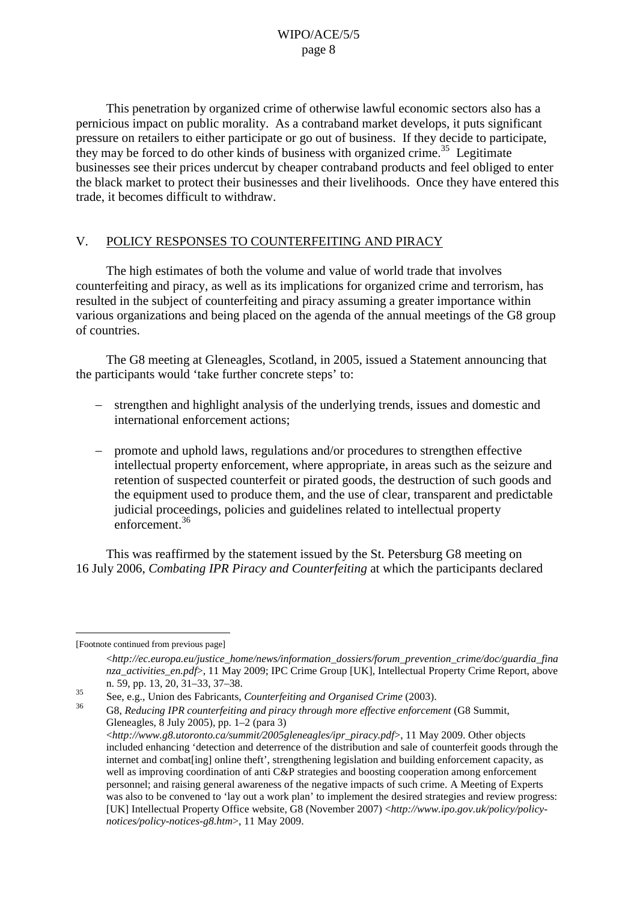This penetration by organized crime of otherwise lawful economic sectors also has a pernicious impact on public morality. As a contraband market develops, it puts significant pressure on retailers to either participate or go out of business. If they decide to participate, they may be forced to do other kinds of business with organized crime.<sup>35</sup> Legitimate businesses see their prices undercut by cheaper contraband products and feel obliged to enter the black market to protect their businesses and their livelihoods. Once they have entered this trade, it becomes difficult to withdraw.

## V. POLICY RESPONSES TO COUNTERFEITING AND PIRACY

The high estimates of both the volume and value of world trade that involves counterfeiting and piracy, as well as its implications for organized crime and terrorism, has resulted in the subject of counterfeiting and piracy assuming a greater importance within various organizations and being placed on the agenda of the annual meetings of the G8 group of countries.

The G8 meeting at Gleneagles, Scotland, in 2005, issued a Statement announcing that the participants would 'take further concrete steps' to:

- strengthen and highlight analysis of the underlying trends, issues and domestic and international enforcement actions;
- promote and uphold laws, regulations and/or procedures to strengthen effective intellectual property enforcement, where appropriate, in areas such as the seizure and retention of suspected counterfeit or pirated goods, the destruction of such goods and the equipment used to produce them, and the use of clear, transparent and predictable judicial proceedings, policies and guidelines related to intellectual property enforcement. 36

This was reaffirmed by the statement issued by the St. Petersburg G8 meeting on 16 July 2006, *Combating IPR Piracy and Counterfeiting* at which the participants declared

[Footnote continued from previous page]

<sup>&</sup>lt;*http://ec.europa.eu/justice\_home/news/information\_dossiers/forum\_prevention\_crime/doc/guardia\_fina nza\_activities\_en.pdf*>, 11 May 2009; IPC Crime Group [UK], Intellectual Property Crime Report, above

n. 59, pp. 13, 20, 31–33, 37–38. <sup>35</sup> See, e.g., Union des Fabricants, *Counterfeiting and Organised Crime* (2003).

<sup>36</sup> G8, *Reducing IPR counterfeiting and piracy through more effective enforcement* (G8 Summit, Gleneagles, 8 July 2005), pp. 1–2 (para 3) <*http://www.g8.utoronto.ca/summit/2005gleneagles/ipr\_piracy.pdf*>, 11 May 2009. Other objects included enhancing 'detection and deterrence of the distribution and sale of counterfeit goods through the internet and combat[ing] online theft', strengthening legislation and building enforcement capacity, as well as improving coordination of anti C&P strategies and boosting cooperation among enforcement personnel; and raising general awareness of the negative impacts of such crime. A Meeting of Experts was also to be convened to 'lay out a work plan' to implement the desired strategies and review progress: [UK] Intellectual Property Office website, G8 (November 2007) <*http://www.ipo.gov.uk/policy/policynotices/policy-notices-g8.htm*>, 11 May 2009.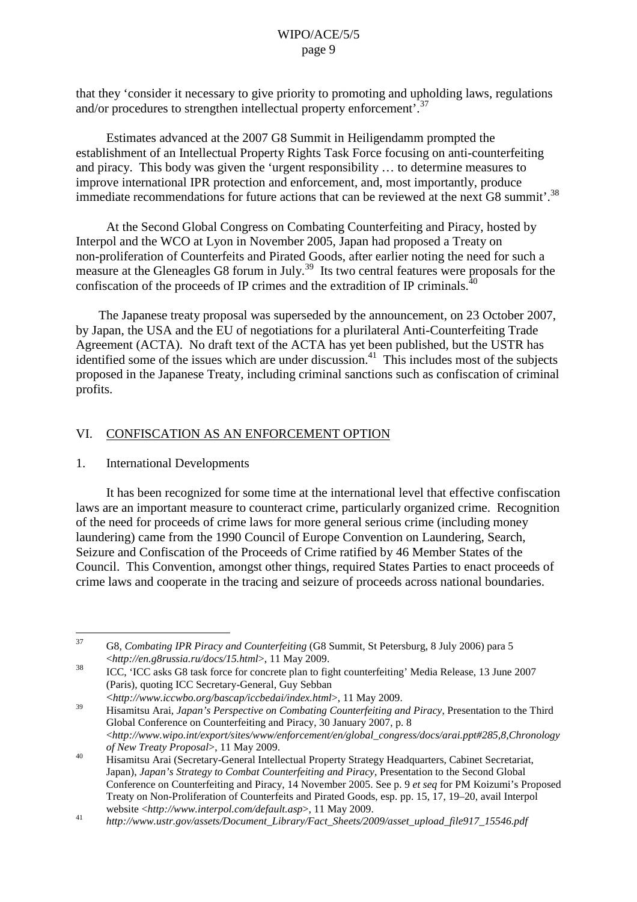that they 'consider it necessary to give priority to promoting and upholding laws, regulations and/or procedures to strengthen intellectual property enforcement'.<sup>3</sup>

Estimates advanced at the 2007 G8 Summit in Heiligendamm prompted the establishment of an Intellectual Property Rights Task Force focusing on anti-counterfeiting and piracy. This body was given the 'urgent responsibility … to determine measures to improve international IPR protection and enforcement, and, most importantly, produce immediate recommendations for future actions that can be reviewed at the next G8 summit'.<sup>38</sup>

At the Second Global Congress on Combating Counterfeiting and Piracy, hosted by Interpol and the WCO at Lyon in November 2005, Japan had proposed a Treaty on non-proliferation of Counterfeits and Pirated Goods, after earlier noting the need for such a measure at the Gleneagles G8 forum in July.<sup>39</sup> Its two central features were proposals for the configuration of the proceeds of IP crimes and the extradition of IP criminals  $^{40}$ confiscation of the proceeds of IP crimes and the extradition of IP criminals.

The Japanese treaty proposal was superseded by the announcement, on 23 October 2007, by Japan, the USA and the EU of negotiations for a plurilateral Anti-Counterfeiting Trade Agreement (ACTA). No draft text of the ACTA has yet been published, but the USTR has identified some of the issues which are under discussion.<sup>41</sup> This includes most of the subjects proposed in the Japanese Treaty, including criminal sanctions such as confiscation of criminal profits.

# VI. CONFISCATION AS AN ENFORCEMENT OPTION

#### 1. International Developments

It has been recognized for some time at the international level that effective confiscation laws are an important measure to counteract crime, particularly organized crime. Recognition of the need for proceeds of crime laws for more general serious crime (including money laundering) came from the 1990 Council of Europe Convention on Laundering, Search, Seizure and Confiscation of the Proceeds of Crime ratified by 46 Member States of the Council. This Convention, amongst other things, required States Parties to enact proceeds of crime laws and cooperate in the tracing and seizure of proceeds across national boundaries.

<sup>37</sup> G8, *Combating IPR Piracy and Counterfeiting* (G8 Summit, St Petersburg, 8 July 2006) para 5

<sup>&</sup>lt;*http://en.g8russia.ru/docs/15.html*>, <sup>11</sup> May 2009. <sup>38</sup> ICC, 'ICC asks G8 task force for concrete plan to fight counterfeiting' Media Release, <sup>13</sup> June <sup>2007</sup> (Paris), quoting ICC Secretary-General, Guy Sebban

<sup>&</sup>lt;http://www.iccwbo.org/bascap/iccbedai/index.html>, 11 May 2009.<br>Hisamitsu Arai, Japan's Perspective on Combating Counterfeiting and Piracy, Presentation to the Third Global Conference on Counterfeiting and Piracy, 30 January 2007, p. 8 <*http://www.wipo.int/export/sites/www/enforcement/en/global\_congress/docs/arai.ppt#285,8,Chronology*

*of New Treaty Proposal*>, 11 May 2009.<br>
Hisamitsu Arai (Secretary-General Intellectual Property Strategy Headquarters, Cabinet Secretariat, Japan), *Japan's Strategy to Combat Counterfeiting and Piracy*, Presentation to the Second Global Conference on Counterfeiting and Piracy, 14 November 2005. See p. 9 *et seq* for PM Koizumi's Proposed Treaty on Non-Proliferation of Counterfeits and Pirated Goods, esp. pp. 15, 17, 19–20, avail Interpol

website <*http://www.interpol.com/default.asp*>, 11 May 2009.<br> *http://www.ustr.gov/assets/Document\_Library/Fact\_Sheets/2009/asset\_upload\_file917\_15546.pdf*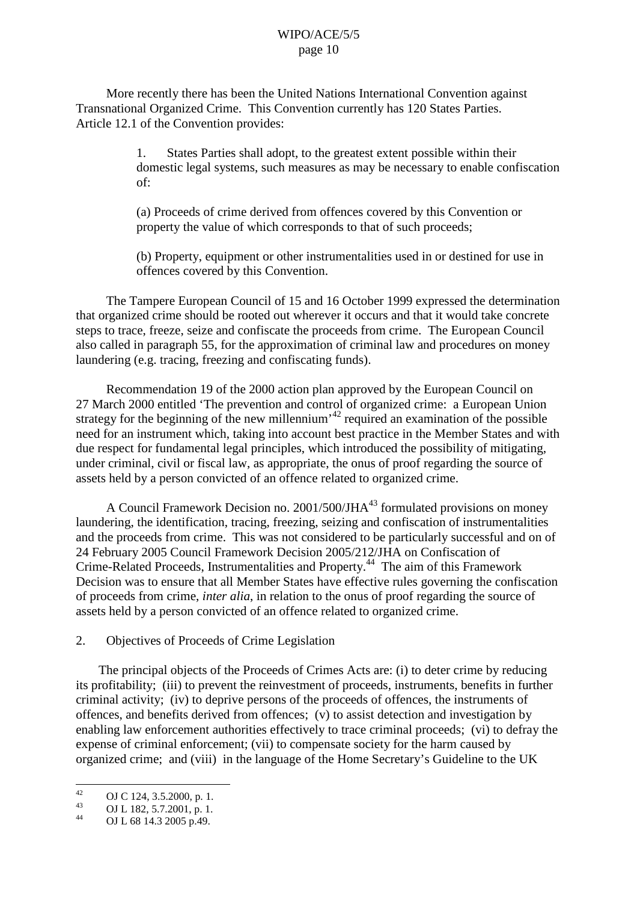More recently there has been the United Nations International Convention against Transnational Organized Crime. This Convention currently has 120 States Parties. Article 12.1 of the Convention provides:

> 1. States Parties shall adopt, to the greatest extent possible within their domestic legal systems, such measures as may be necessary to enable confiscation of:

(a) Proceeds of crime derived from offences covered by this Convention or property the value of which corresponds to that of such proceeds;

(b) Property, equipment or other instrumentalities used in or destined for use in offences covered by this Convention.

The Tampere European Council of 15 and 16 October 1999 expressed the determination that organized crime should be rooted out wherever it occurs and that it would take concrete steps to trace, freeze, seize and confiscate the proceeds from crime. The European Council also called in paragraph 55, for the approximation of criminal law and procedures on money laundering (e.g. tracing, freezing and confiscating funds).

Recommendation 19 of the 2000 action plan approved by the European Council on 27 March 2000 entitled 'The prevention and control of organized crime: a European Union strategy for the beginning of the new millennium<sup> $42$ </sup> required an examination of the possible need for an instrument which, taking into account best practice in the Member States and with due respect for fundamental legal principles, which introduced the possibility of mitigating, under criminal, civil or fiscal law, as appropriate, the onus of proof regarding the source of assets held by a person convicted of an offence related to organized crime.

A Council Framework Decision no.  $2001/500/JHA^{43}$  formulated provisions on money laundering, the identification, tracing, freezing, seizing and confiscation of instrumentalities and the proceeds from crime. This was not considered to be particularly successful and on of 24 February 2005 Council Framework Decision 2005/212/JHA on Confiscation of Crime-Related Proceeds, Instrumentalities and Property. <sup>44</sup> The aim of this Framework Decision was to ensure that all Member States have effective rules governing the confiscation of proceeds from crime, *inter alia*, in relation to the onus of proof regarding the source of assets held by a person convicted of an offence related to organized crime.

2. Objectives of Proceeds of Crime Legislation

The principal objects of the Proceeds of Crimes Acts are: (i) to deter crime by reducing its profitability; (iii) to prevent the reinvestment of proceeds, instruments, benefits in further criminal activity; (iv) to deprive persons of the proceeds of offences, the instruments of offences, and benefits derived from offences; (v) to assist detection and investigation by enabling law enforcement authorities effectively to trace criminal proceeds; (vi) to defray the expense of criminal enforcement; (vii) to compensate society for the harm caused by organized crime; and (viii) in the language of the Home Secretary's Guideline to the UK

<sup>42</sup> **OJ C** 124, 3.5.2000, p. 1.<br>
44 **OJ** L 182, 5.7.2001, p. 1.<br> **OJ** L 68 14.3 2005 p.49.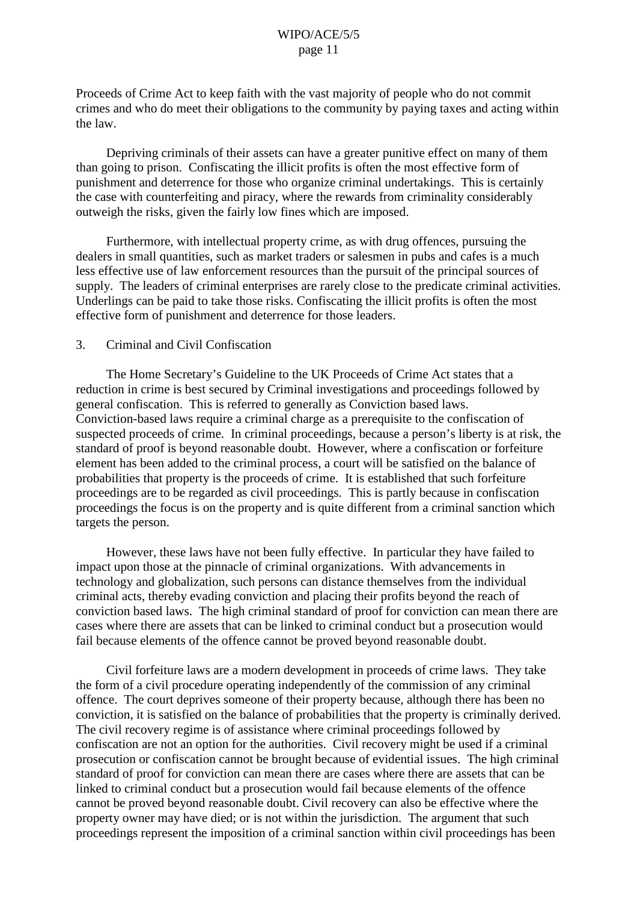Proceeds of Crime Act to keep faith with the vast majority of people who do not commit crimes and who do meet their obligations to the community by paying taxes and acting within the law.

Depriving criminals of their assets can have a greater punitive effect on many of them than going to prison. Confiscating the illicit profits is often the most effective form of punishment and deterrence for those who organize criminal undertakings. This is certainly the case with counterfeiting and piracy, where the rewards from criminality considerably outweigh the risks, given the fairly low fines which are imposed.

Furthermore, with intellectual property crime, as with drug offences, pursuing the dealers in small quantities, such as market traders or salesmen in pubs and cafes is a much less effective use of law enforcement resources than the pursuit of the principal sources of supply. The leaders of criminal enterprises are rarely close to the predicate criminal activities. Underlings can be paid to take those risks. Confiscating the illicit profits is often the most effective form of punishment and deterrence for those leaders.

## 3. Criminal and Civil Confiscation

The Home Secretary's Guideline to the UK Proceeds of Crime Act states that a reduction in crime is best secured by Criminal investigations and proceedings followed by general confiscation. This is referred to generally as Conviction based laws. Conviction-based laws require a criminal charge as a prerequisite to the confiscation of suspected proceeds of crime. In criminal proceedings, because a person's liberty is at risk, the standard of proof is beyond reasonable doubt. However, where a confiscation or forfeiture element has been added to the criminal process, a court will be satisfied on the balance of probabilities that property is the proceeds of crime. It is established that such forfeiture proceedings are to be regarded as civil proceedings. This is partly because in confiscation proceedings the focus is on the property and is quite different from a criminal sanction which targets the person.

However, these laws have not been fully effective. In particular they have failed to impact upon those at the pinnacle of criminal organizations. With advancements in technology and globalization, such persons can distance themselves from the individual criminal acts, thereby evading conviction and placing their profits beyond the reach of conviction based laws. The high criminal standard of proof for conviction can mean there are cases where there are assets that can be linked to criminal conduct but a prosecution would fail because elements of the offence cannot be proved beyond reasonable doubt.

Civil forfeiture laws are a modern development in proceeds of crime laws. They take the form of a civil procedure operating independently of the commission of any criminal offence. The court deprives someone of their property because, although there has been no conviction, it is satisfied on the balance of probabilities that the property is criminally derived. The civil recovery regime is of assistance where criminal proceedings followed by confiscation are not an option for the authorities. Civil recovery might be used if a criminal prosecution or confiscation cannot be brought because of evidential issues. The high criminal standard of proof for conviction can mean there are cases where there are assets that can be linked to criminal conduct but a prosecution would fail because elements of the offence cannot be proved beyond reasonable doubt. Civil recovery can also be effective where the property owner may have died; or is not within the jurisdiction. The argument that such proceedings represent the imposition of a criminal sanction within civil proceedings has been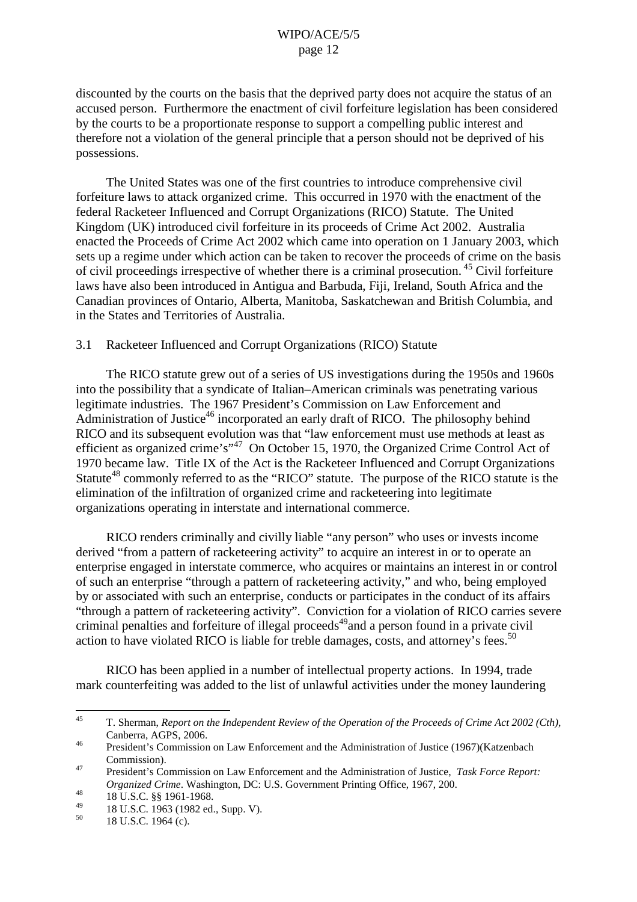discounted by the courts on the basis that the deprived party does not acquire the status of an accused person. Furthermore the enactment of civil forfeiture legislation has been considered by the courts to be a proportionate response to support a compelling public interest and therefore not a violation of the general principle that a person should not be deprived of his possessions.

The United States was one of the first countries to introduce comprehensive civil forfeiture laws to attack organized crime. This occurred in 1970 with the enactment of the federal Racketeer Influenced and Corrupt Organizations (RICO) Statute. The United Kingdom (UK) introduced civil forfeiture in its proceeds of Crime Act 2002. Australia enacted the Proceeds of Crime Act 2002 which came into operation on 1 January 2003, which sets up a regime under which action can be taken to recover the proceeds of crime on the basis of civil proceedings irrespective of whether there is a criminal prosecution. <sup>45</sup> Civil forfeiture laws have also been introduced in Antigua and Barbuda, Fiji, Ireland, South Africa and the Canadian provinces of Ontario, Alberta, Manitoba, Saskatchewan and British Columbia, and in the States and Territories of Australia.

## 3.1 Racketeer Influenced and Corrupt Organizations (RICO) Statute

The RICO statute grew out of a series of US investigations during the 1950s and 1960s into the possibility that a syndicate of Italian–American criminals was penetrating various legitimate industries. The 1967 President's Commission on Law Enforcement and Administration of Justice<sup>46</sup> incorporated an early draft of RICO. The philosophy behind RICO and its subsequent evolution was that "law enforcement must use methods at least as efficient as organized crime's"<sup>47</sup> On October 15, 1970, the Organized Crime Control Act of 1970 became law. Title IX of the Act is the Racketeer Influenced and Corrupt Organizations Statute<sup>48</sup> commonly referred to as the "RICO" statute. The purpose of the RICO statute is the elimination of the infiltration of organized crime and racketeering into legitimate organizations operating in interstate and international commerce.

RICO renders criminally and civilly liable "any person" who uses or invests income derived "from a pattern of racketeering activity" to acquire an interest in or to operate an enterprise engaged in interstate commerce, who acquires or maintains an interest in or control of such an enterprise "through a pattern of racketeering activity," and who, being employed by or associated with such an enterprise, conducts or participates in the conduct of its affairs "through a pattern of racketeering activity". Conviction for a violation of RICO carries severe criminal penalties and forfeiture of illegal proceeds 49 and a person found in a private civil action to have violated RICO is liable for treble damages, costs, and attorney's fees.<sup>50</sup>

RICO has been applied in a number of intellectual property actions. In 1994, trade mark counterfeiting was added to the list of unlawful activities under the money laundering

<sup>45</sup> T. Sherman, *Report on the Independent Review of the Operation of the Proceeds of Crime Act 2002 (Cth),* Canberra, AGPS, 2006.<br><sup>46</sup> President's Commission on Law Enforcement and the Administration of Justice (1967)(Katzenbach

Commission). <sup>47</sup> President's Commission on Law Enforcement and the Administration of Justice, *Task Force Report:*

*Organized Crime*. Washington, DC: U.S. Government Printing Office, 1967, 200.<br>
18 U.S.C. §§ 1961-1968.<br>
18 U.S.C. 1963 (1982 ed., Supp. V).<br>
<sup>50</sup> 18 U.S.C. 1964 (c).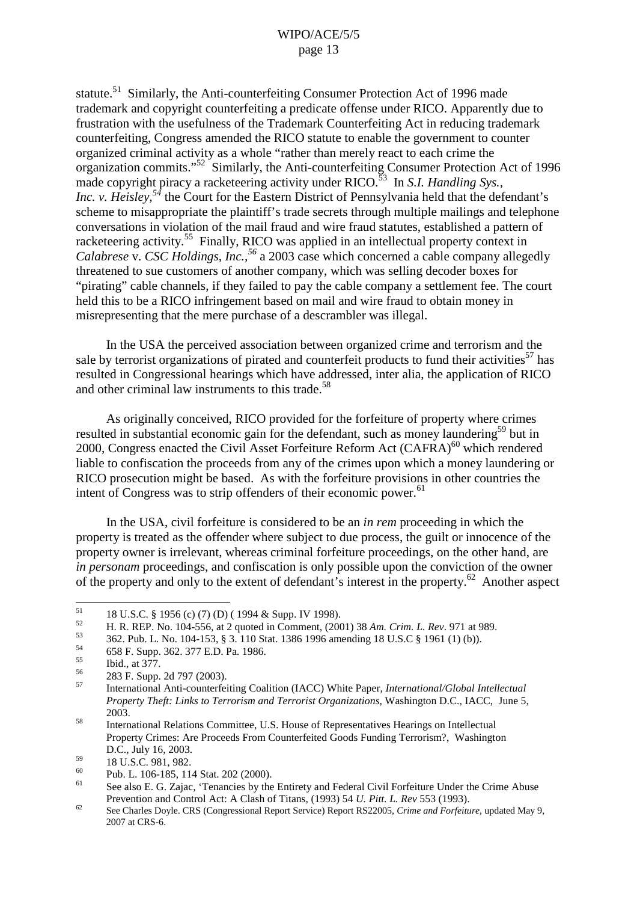statute.<sup>51</sup> Similarly, the Anti-counterfeiting Consumer Protection Act of 1996 made trademark and copyright counterfeiting a predicate offense under RICO. Apparently due to frustration with the usefulness of the Trademark Counterfeiting Act in reducing trademark counterfeiting, Congress amended the RICO statute to enable the government to counter organized criminal activity as a whole "rather than merely react to each crime the organization commits."<sup>52</sup> Similarly, the Anti-counterfeiting Consumer Protection Act of 1996 made copyright piracy a racketeering activity under RICO. <sup>53</sup> In *S.I. Handling Sys., Inc. v. Heisley, <sup>54</sup>* the Court for the Eastern District of Pennsylvania held that the defendant's scheme to misappropriate the plaintiff's trade secrets through multiple mailings and telephone conversations in violation of the mail fraud and wire fraud statutes, established a pattern of racketeering activity.<sup>55</sup> Finally, RICO was applied in an intellectual property context in *Calabrese* v. *CSC Holdings, Inc., <sup>56</sup>* a 2003 case which concerned a cable company allegedly threatened to sue customers of another company, which was selling decoder boxes for "pirating" cable channels, if they failed to pay the cable company a settlement fee. The court held this to be a RICO infringement based on mail and wire fraud to obtain money in misrepresenting that the mere purchase of a descrambler was illegal.

In the USA the perceived association between organized crime and terrorism and the sale by terrorist organizations of pirated and counterfeit products to fund their activities<sup>57</sup> has resulted in Congressional hearings which have addressed, inter alia, the application of RICO and other criminal law instruments to this trade.<sup>58</sup>

As originally conceived, RICO provided for the forfeiture of property where crimes resulted in substantial economic gain for the defendant, such as money laundering<sup>59</sup> but in 2000, Congress enacted the Civil Asset Forfeiture Reform Act (CAFRA)<sup>60</sup> which rendered liable to confiscation the proceeds from any of the crimes upon which a money laundering or RICO prosecution might be based. As with the forfeiture provisions in other countries the intent of Congress was to strip offenders of their economic power.<sup>61</sup>

In the USA, civil forfeiture is considered to be an *in rem* proceeding in which the property is treated as the offender where subject to due process, the guilt or innocence of the property owner is irrelevant, whereas criminal forfeiture proceedings, on the other hand, are *in personam* proceedings, and confiscation is only possible upon the conviction of the owner of the property and only to the extent of defendant's interest in the property.<sup>62</sup> Another aspect

<sup>&</sup>lt;sup>51</sup> 18 U.S.C. § 1956 (c) (7) (D) ( 1994 & Supp. IV 1998).<br>
H. R. REP. No. 104-556, at 2 quoted in Comment, (2001) 38 *Am. Crim. L. Rev.* 971 at 989.<br>
362. Pub. L. No. 104-153, § 3. 110 Stat. 1386 1996 amending 18 U.S.C §

*Property Theft: Links to Terrorism and Terrorist Organizations*, Washington D.C., IACC, June 5, 2003.  $2003$ .<br>International Relations Committee, U.S. House of Representatives Hearings on Intellectual

Property Crimes: Are Proceeds From Counterfeited Goods Funding Terrorism?, Washington

 $\begin{bmatrix} 59 & 18 \text{ U.S.C. } 981, 982. \\ 980 & \text{Pub. L. } 106-185, 114 \text{ Stat. } 202 \text{ (2000)}. \end{bmatrix}$ <br>
See also E. G. Zajac, 'Tenancies by the Entirety and Federal Civil Forfeiture Under the Crime Abuse

Prevention and Control Act: A Clash of Titans, (1993) 54 U. Pitt. L. Rev 553 (1993).<br>See Charles Doyle. CRS (Congressional Report Service) Report RS22005, Crime and Forfeiture, updated May 9, 2007 at CRS-6.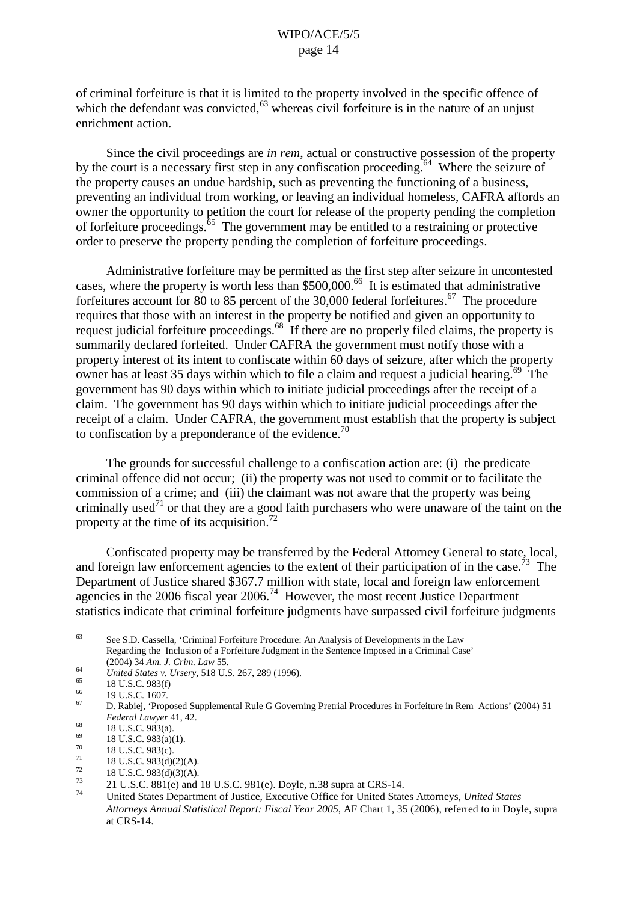of criminal forfeiture is that it is limited to the property involved in the specific offence of which the defendant was convicted,  $63$  whereas civil forfeiture is in the nature of an unjust enrichment action.

Since the civil proceedings are *in rem*, actual or constructive possession of the property by the court is a necessary first step in any confiscation proceeding.<sup>64</sup> Where the seizure of the property causes an undue hardship, such as preventing the functioning of a business, preventing an individual from working, or leaving an individual homeless, CAFRA affords an owner the opportunity to petition the court for release of the property pending the completion of forfeiture proceedings. <sup>65</sup> The government may be entitled to a restraining or protective order to preserve the property pending the completion of forfeiture proceedings.

Administrative forfeiture may be permitted as the first step after seizure in uncontested cases, where the property is worth less than \$500,000. <sup>66</sup> It is estimated that administrative forfeitures account for 80 to 85 percent of the 30,000 federal forfeitures.<sup>67</sup> The procedure requires that those with an interest in the property be notified and given an opportunity to request judicial forfeiture proceedings.<sup>68</sup> If there are no properly filed claims, the property is summarily declared forfeited. Under CAFRA the government must notify those with a property interest of its intent to confiscate within 60 days of seizure, after which the property owner has at least 35 days within which to file a claim and request a judicial hearing.<sup>69</sup> The government has 90 days within which to initiate judicial proceedings after the receipt of a claim. The government has 90 days within which to initiate judicial proceedings after the receipt of a claim. Under CAFRA, the government must establish that the property is subject to confiscation by a preponderance of the evidence.<sup>70</sup>

The grounds for successful challenge to a confiscation action are: (i) the predicate criminal offence did not occur; (ii) the property was not used to commit or to facilitate the commission of a crime; and (iii) the claimant was not aware that the property was being criminally used<sup>71</sup> or that they are a good faith purchasers who were unaware of the taint on the property at the time of its acquisition.<sup>72</sup>

Confiscated property may be transferred by the Federal Attorney General to state, local, and foreign law enforcement agencies to the extent of their participation of in the case.<sup>73</sup> The Department of Justice shared \$367.7 million with state, local and foreign law enforcement agencies in the 2006 fiscal year 2006.<sup>74</sup> However, the most recent Justice Department statistics indicate that criminal forfeiture judgments have surpassed civil forfeiture judgments

<sup>63</sup> See S.D. Cassella, 'Criminal Forfeiture Procedure: An Analysis of Developments in the Law Regarding the Inclusion of a Forfeiture Judgment in the Sentence Imposed in a Criminal Case'

<sup>(2004)</sup>  $3\overline{4}$  Am. J. Crim. Law 55.<br>
United States v. Ursery, 518 U.S. 267, 289 (1996).<br>
<sup>65</sup> 19 U.S.C. 1607.<br>
<sup>67</sup> D. Rabiei, 'Proposed Supplemental Rule G Governing Pretrial Procedures in Forfeiture in Rem Actions' (2 *Federal Lawyer* 41, 42.<br>
<sup>68</sup> 18 U.S.C. 983(a).<br>
<sup>69</sup> 18 U.S.C. 983(a)(1).<br>
<sup>70</sup> 18 U.S.C. 983(c).<br>
<sup>71</sup> 18 U.S.C. 983(d)(2)(A).<br>
<sup>73</sup> 21 U.S.C. 881(e) and 18 U.S.C. 981(e). Doyle, n.38 supra at CRS-14.<br>
<sup>73</sup> 21 U.S.C. 8

*Attorneys Annual Statistical Report: Fiscal Year 2005*, AF Chart 1, 35 (2006), referred to in Doyle, supra at CRS-14.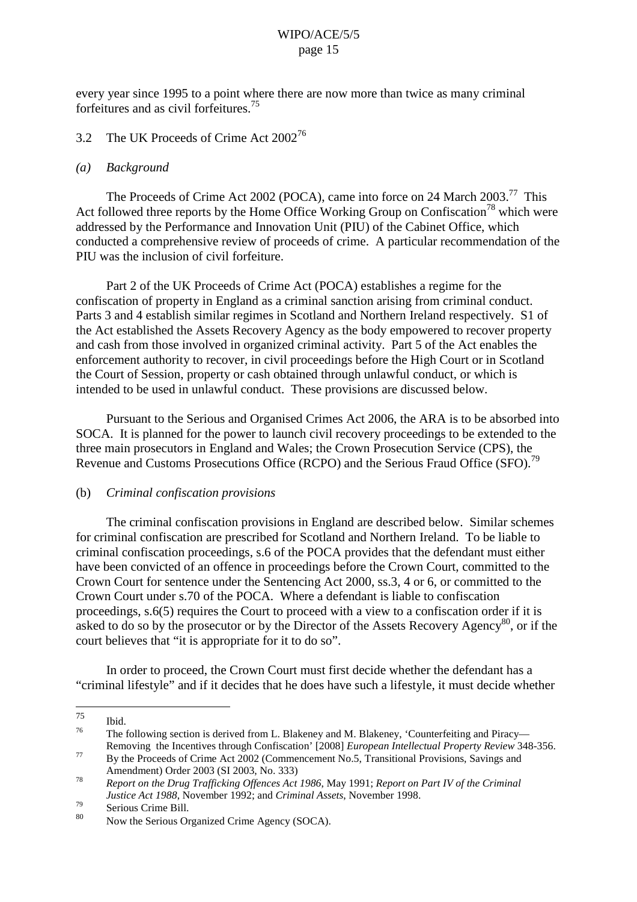every year since 1995 to a point where there are now more than twice as many criminal forfeitures and as civil forfeitures. 75

# 3.2 The UK Proceeds of Crime Act 2002<sup>76</sup>

#### *(a) Background*

The Proceeds of Crime Act 2002 (POCA), came into force on 24 March 2003.<sup>77</sup> This Act followed three reports by the Home Office Working Group on Confiscation<sup>78</sup> which were addressed by the Performance and Innovation Unit (PIU) of the Cabinet Office, which conducted a comprehensive review of proceeds of crime. A particular recommendation of the PIU was the inclusion of civil forfeiture.

Part 2 of the UK Proceeds of Crime Act (POCA) establishes a regime for the confiscation of property in England as a criminal sanction arising from criminal conduct. Parts 3 and 4 establish similar regimes in Scotland and Northern Ireland respectively. S1 of the Act established the Assets Recovery Agency as the body empowered to recover property and cash from those involved in organized criminal activity. Part 5 of the Act enables the enforcement authority to recover, in civil proceedings before the High Court or in Scotland the Court of Session, property or cash obtained through unlawful conduct, or which is intended to be used in unlawful conduct. These provisions are discussed below.

Pursuant to the Serious and Organised Crimes Act 2006, the ARA is to be absorbed into SOCA. It is planned for the power to launch civil recovery proceedings to be extended to the three main prosecutors in England and Wales; the Crown Prosecution Service (CPS), the Revenue and Customs Prosecutions Office (RCPO) and the Serious Fraud Office (SFO).<sup>79</sup>

## (b) *Criminal confiscation provisions*

The criminal confiscation provisions in England are described below. Similar schemes for criminal confiscation are prescribed for Scotland and Northern Ireland. To be liable to criminal confiscation proceedings, s.6 of the POCA provides that the defendant must either have been convicted of an offence in proceedings before the Crown Court, committed to the Crown Court for sentence under the Sentencing Act 2000, ss.3, 4 or 6, or committed to the Crown Court under s.70 of the POCA. Where a defendant is liable to confiscation proceedings, s.6(5) requires the Court to proceed with a view to a confiscation order if it is asked to do so by the prosecutor or by the Director of the Assets Recovery Agency<sup>80</sup>, or if the court believes that "it is appropriate for it to do so".

In order to proceed, the Crown Court must first decide whether the defendant has a "criminal lifestyle" and if it decides that he does have such a lifestyle, it must decide whether

 $\frac{75}{76}$  Ibid.

The following section is derived from L. Blakeney and M. Blakeney, 'Counterfeiting and Piracy—<br>Removing the Incentives through Confiscation' [2008] *European Intellectual Property Review* 348-356.

Removing the Incentives through Confiscation' [2008] *European Intellectual Property Review*<br>By the Proceeds of Crime Act 2002 (Commencement No.5, Transitional Provisions, Savings and<br>Amendment) Order 2003 (SI 2003, No. 33

Report on the Drug Trafficking Offences Act 1986, May 1991; Report on Part IV of the Criminal *Justice Act 1988*, November 1992; and *Criminal Assets*, November 1998.<br>Serious Crime Bill. Now the Serious Organized Crime Agency (SOCA).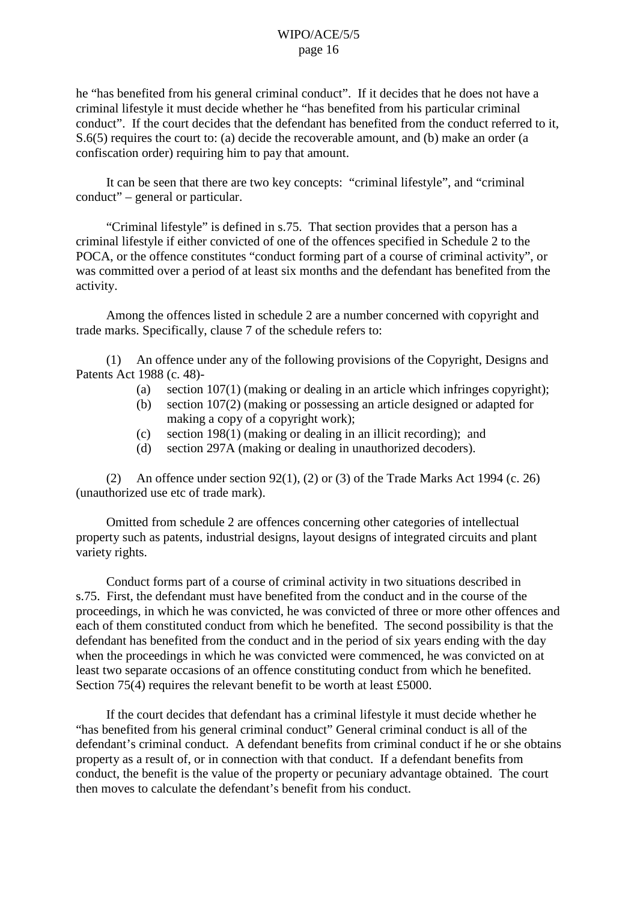he "has benefited from his general criminal conduct". If it decides that he does not have a criminal lifestyle it must decide whether he "has benefited from his particular criminal conduct". If the court decides that the defendant has benefited from the conduct referred to it, S.6(5) requires the court to: (a) decide the recoverable amount, and (b) make an order (a confiscation order) requiring him to pay that amount.

It can be seen that there are two key concepts: "criminal lifestyle", and "criminal conduct" – general or particular.

"Criminal lifestyle" is defined in s.75. That section provides that a person has a criminal lifestyle if either convicted of one of the offences specified in Schedule 2 to the POCA, or the offence constitutes "conduct forming part of a course of criminal activity", or was committed over a period of at least six months and the defendant has benefited from the activity.

Among the offences listed in schedule 2 are a number concerned with copyright and trade marks. Specifically, clause 7 of the schedule refers to:

(1) An offence under any of the following provisions of the Copyright, Designs and Patents Act 1988 (c. 48)-

- (a) section 107(1) (making or dealing in an article which infringes copyright);
- (b) section 107(2) (making or possessing an article designed or adapted for making a copy of a copyright work);
- (c) section 198(1) (making or dealing in an illicit recording); and
- (d) section 297A (making or dealing in unauthorized decoders).

(2) An offence under section 92(1), (2) or (3) of the Trade Marks Act 1994 (c. 26) (unauthorized use etc of trade mark).

Omitted from schedule 2 are offences concerning other categories of intellectual property such as patents, industrial designs, layout designs of integrated circuits and plant variety rights.

Conduct forms part of a course of criminal activity in two situations described in s.75. First, the defendant must have benefited from the conduct and in the course of the proceedings, in which he was convicted, he was convicted of three or more other offences and each of them constituted conduct from which he benefited. The second possibility is that the defendant has benefited from the conduct and in the period of six years ending with the day when the proceedings in which he was convicted were commenced, he was convicted on at least two separate occasions of an offence constituting conduct from which he benefited. Section 75(4) requires the relevant benefit to be worth at least £5000.

If the court decides that defendant has a criminal lifestyle it must decide whether he "has benefited from his general criminal conduct" General criminal conduct is all of the defendant's criminal conduct. A defendant benefits from criminal conduct if he or she obtains property as a result of, or in connection with that conduct. If a defendant benefits from conduct, the benefit is the value of the property or pecuniary advantage obtained. The court then moves to calculate the defendant's benefit from his conduct.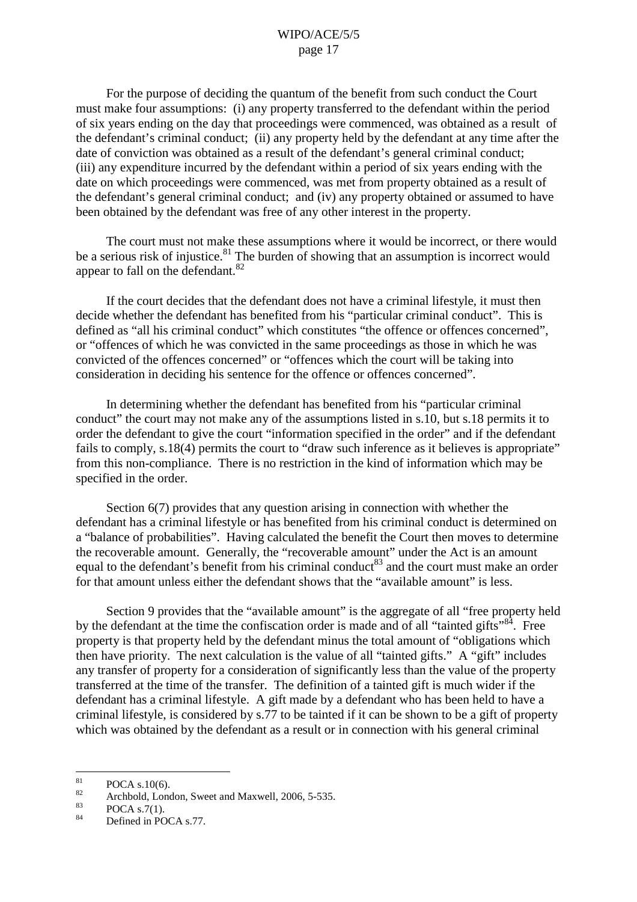For the purpose of deciding the quantum of the benefit from such conduct the Court must make four assumptions: (i) any property transferred to the defendant within the period of six years ending on the day that proceedings were commenced, was obtained as a result of the defendant's criminal conduct; (ii) any property held by the defendant at any time after the date of conviction was obtained as a result of the defendant's general criminal conduct; (iii) any expenditure incurred by the defendant within a period of six years ending with the date on which proceedings were commenced, was met from property obtained as a result of the defendant's general criminal conduct; and (iv) any property obtained or assumed to have been obtained by the defendant was free of any other interest in the property.

The court must not make these assumptions where it would be incorrect, or there would be a serious risk of injustice.<sup>81</sup> The burden of showing that an assumption is incorrect would appear to fall on the defendant.<sup>82</sup>

If the court decides that the defendant does not have a criminal lifestyle, it must then decide whether the defendant has benefited from his "particular criminal conduct". This is defined as "all his criminal conduct" which constitutes "the offence or offences concerned", or "offences of which he was convicted in the same proceedings as those in which he was convicted of the offences concerned" or "offences which the court will be taking into consideration in deciding his sentence for the offence or offences concerned".

In determining whether the defendant has benefited from his "particular criminal conduct" the court may not make any of the assumptions listed in s.10, but s.18 permits it to order the defendant to give the court "information specified in the order" and if the defendant fails to comply, s.18(4) permits the court to "draw such inference as it believes is appropriate" from this non-compliance. There is no restriction in the kind of information which may be specified in the order.

Section 6(7) provides that any question arising in connection with whether the defendant has a criminal lifestyle or has benefited from his criminal conduct is determined on a "balance of probabilities". Having calculated the benefit the Court then moves to determine the recoverable amount. Generally, the "recoverable amount" under the Act is an amount equal to the defendant's benefit from his criminal conduct<sup>83</sup> and the court must make an order for that amount unless either the defendant shows that the "available amount" is less.

Section 9 provides that the "available amount" is the aggregate of all "free property held by the defendant at the time the confiscation order is made and of all "tainted gifts"<sup>84</sup>. Free property is that property held by the defendant minus the total amount of "obligations which then have priority. The next calculation is the value of all "tainted gifts." A "gift" includes any transfer of property for a consideration of significantly less than the value of the property transferred at the time of the transfer. The definition of a tainted gift is much wider if the defendant has a criminal lifestyle. A gift made by a defendant who has been held to have a criminal lifestyle, is considered by s.77 to be tainted if it can be shown to be a gift of property which was obtained by the defendant as a result or in connection with his general criminal

<sup>&</sup>lt;sup>81</sup> POCA s.10(6).<br>
<sup>82</sup> Archbold, London, Sweet and Maxwell, 2006, 5-535.<br>
POCA s.7(1).<br>
<sup>84</sup> Defined in POCA s.77.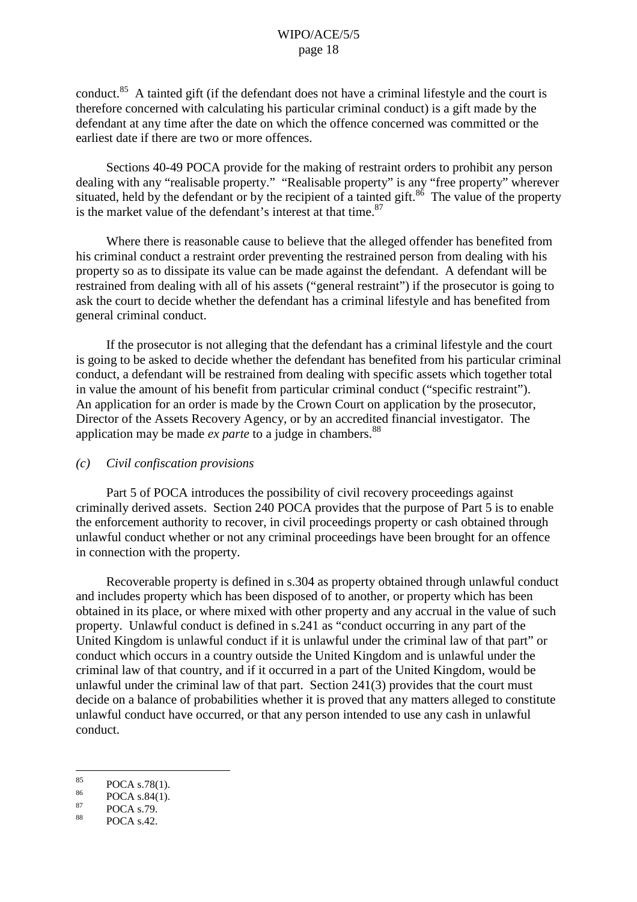conduct.<sup>85</sup> A tainted gift (if the defendant does not have a criminal lifestyle and the court is therefore concerned with calculating his particular criminal conduct) is a gift made by the defendant at any time after the date on which the offence concerned was committed or the earliest date if there are two or more offences.

Sections 40-49 POCA provide for the making of restraint orders to prohibit any person dealing with any "realisable property." "Realisable property" is any "free property" wherever situated, held by the defendant or by the recipient of a tainted gift.<sup>86</sup> The value of the property is the market value of the defendant's interest at that time.<sup>87</sup>

Where there is reasonable cause to believe that the alleged offender has benefited from his criminal conduct a restraint order preventing the restrained person from dealing with his property so as to dissipate its value can be made against the defendant. A defendant will be restrained from dealing with all of his assets ("general restraint") if the prosecutor is going to ask the court to decide whether the defendant has a criminal lifestyle and has benefited from general criminal conduct.

If the prosecutor is not alleging that the defendant has a criminal lifestyle and the court is going to be asked to decide whether the defendant has benefited from his particular criminal conduct, a defendant will be restrained from dealing with specific assets which together total in value the amount of his benefit from particular criminal conduct ("specific restraint"). An application for an order is made by the Crown Court on application by the prosecutor, Director of the Assets Recovery Agency, or by an accredited financial investigator. The application may be made *ex parte* to a judge in chambers. 88

#### *(c) Civil confiscation provisions*

Part 5 of POCA introduces the possibility of civil recovery proceedings against criminally derived assets. Section 240 POCA provides that the purpose of Part 5 is to enable the enforcement authority to recover, in civil proceedings property or cash obtained through unlawful conduct whether or not any criminal proceedings have been brought for an offence in connection with the property.

Recoverable property is defined in s.304 as property obtained through unlawful conduct and includes property which has been disposed of to another, or property which has been obtained in its place, or where mixed with other property and any accrual in the value of such property. Unlawful conduct is defined in s.241 as "conduct occurring in any part of the United Kingdom is unlawful conduct if it is unlawful under the criminal law of that part" or conduct which occurs in a country outside the United Kingdom and is unlawful under the criminal law of that country, and if it occurred in a part of the United Kingdom, would be unlawful under the criminal law of that part. Section 241(3) provides that the court must decide on a balance of probabilities whether it is proved that any matters alleged to constitute unlawful conduct have occurred, or that any person intended to use any cash in unlawful conduct.

<sup>85</sup> POCA s.78(1).<br>
86 POCA s.84(1).<br>
88 POCA s.42.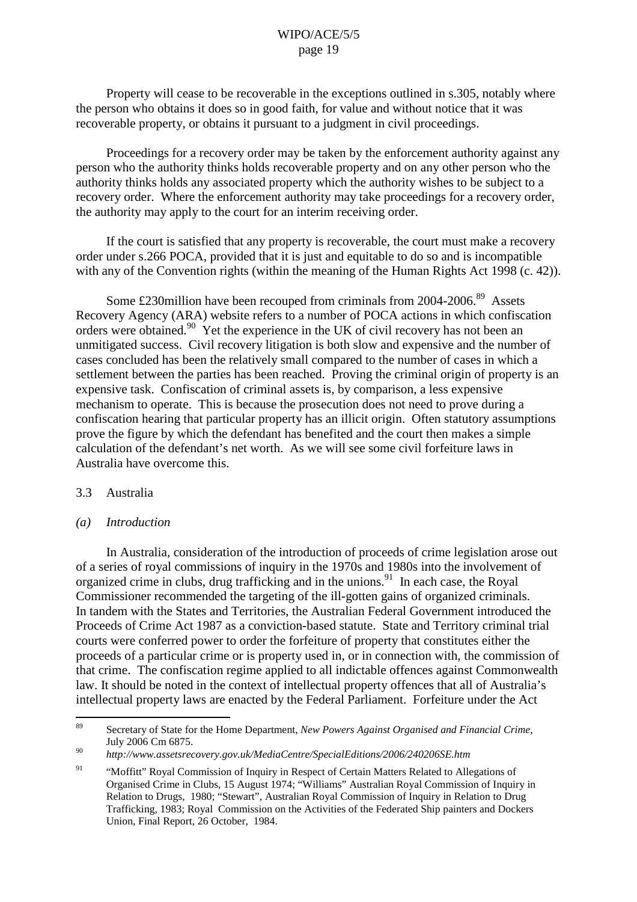Property will cease to be recoverable in the exceptions outlined in s.305, notably where the person who obtains it does so in good faith, for value and without notice that it was recoverable property, or obtains it pursuant to a judgment in civil proceedings.

Proceedings for a recovery order may be taken by the enforcement authority against any person who the authority thinks holds recoverable property and on any other person who the authority thinks holds any associated property which the authority wishes to be subject to a recovery order. Where the enforcement authority may take proceedings for a recovery order, the authority may apply to the court for an interim receiving order.

If the court is satisfied that any property is recoverable, the court must make a recovery order under s.266 POCA, provided that it is just and equitable to do so and is incompatible with any of the Convention rights (within the meaning of the Human Rights Act 1998 (c. 42)).

Some £230million have been recouped from criminals from 2004-2006.<sup>89</sup> Assets Recovery Agency (ARA) website refers to a number of POCA actions in which confiscation orders were obtained.<sup>90</sup> Yet the experience in the UK of civil recovery has not been an unmitigated success. Civil recovery litigation is both slow and expensive and the number of cases concluded has been the relatively small compared to the number of cases in which a settlement between the parties has been reached. Proving the criminal origin of property is an expensive task. Confiscation of criminal assets is, by comparison, a less expensive mechanism to operate. This is because the prosecution does not need to prove during a confiscation hearing that particular property has an illicit origin. Often statutory assumptions prove the figure by which the defendant has benefited and the court then makes a simple calculation of the defendant's net worth. As we will see some civil forfeiture laws in Australia have overcome this.

#### 3.3 Australia

#### *(a) Introduction*

In Australia, consideration of the introduction of proceeds of crime legislation arose out of a series of royal commissions of inquiry in the 1970s and 1980s into the involvement of organized crime in clubs, drug trafficking and in the unions.<sup>91</sup> In each case, the Royal Commissioner recommended the targeting of the ill-gotten gains of organized criminals. In tandem with the States and Territories, the Australian Federal Government introduced the Proceeds of Crime Act 1987 as a conviction-based statute. State and Territory criminal trial courts were conferred power to order the forfeiture of property that constitutes either the proceeds of a particular crime or is property used in, or in connection with, the commission of that crime. The confiscation regime applied to all indictable offences against Commonwealth law. It should be noted in the context of intellectual property offences that all of Australia's intellectual property laws are enacted by the Federal Parliament. Forfeiture under the Act

<sup>89</sup> Secretary of State for the Home Department, *New Powers Against Organised and Financial Crime*, July <sup>2006</sup> Cm 6875. <sup>90</sup> *http://www.assetsrecovery.gov.uk/MediaCentre/SpecialEditions/2006/240206SE.htm*

<sup>&</sup>lt;sup>91</sup> "Moffitt" Royal Commission of Inquiry in Respect of Certain Matters Related to Allegations of Organised Crime in Clubs, 15 August 1974; "Williams" Australian Royal Commission of Inquiry in Relation to Drugs, 1980; "Stewart", Australian Royal Commission of Inquiry in Relation to Drug Trafficking, 1983; Royal Commission on the Activities of the Federated Ship painters and Dockers Union, Final Report, 26 October, 1984.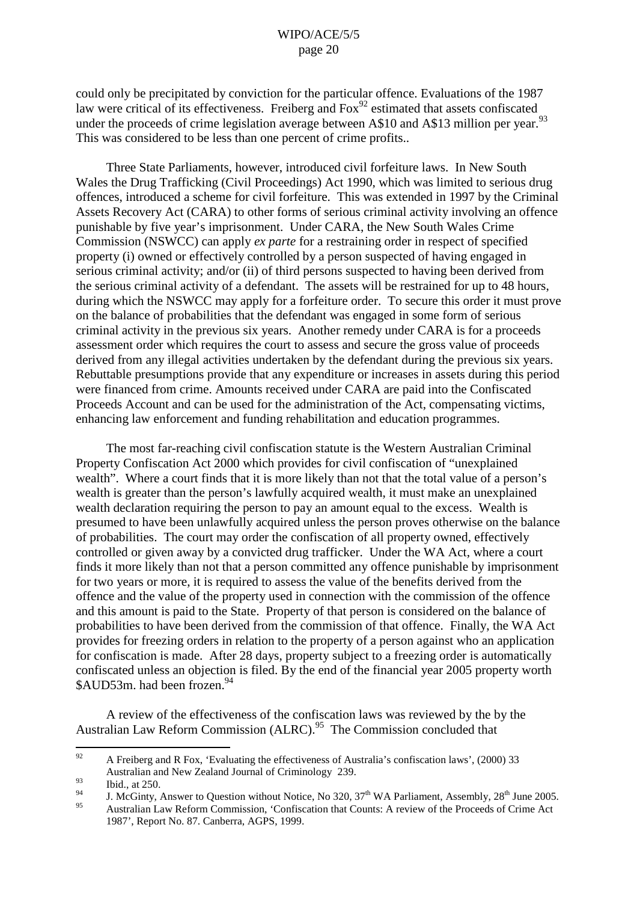could only be precipitated by conviction for the particular offence. Evaluations of the 1987 law were critical of its effectiveness. Freiberg and  $Fox<sup>92</sup>$  estimated that assets confiscated under the proceeds of crime legislation average between A\$10 and A\$13 million per year.<sup>93</sup> This was considered to be less than one percent of crime profits..

Three State Parliaments, however, introduced civil forfeiture laws. In New South Wales the Drug Trafficking (Civil Proceedings) Act 1990, which was limited to serious drug offences, introduced a scheme for civil forfeiture. This was extended in 1997 by the Criminal Assets Recovery Act (CARA) to other forms of serious criminal activity involving an offence punishable by five year's imprisonment. Under CARA, the New South Wales Crime Commission (NSWCC) can apply *ex parte* for a restraining order in respect of specified property (i) owned or effectively controlled by a person suspected of having engaged in serious criminal activity; and/or (ii) of third persons suspected to having been derived from the serious criminal activity of a defendant. The assets will be restrained for up to 48 hours, during which the NSWCC may apply for a forfeiture order. To secure this order it must prove on the balance of probabilities that the defendant was engaged in some form of serious criminal activity in the previous six years. Another remedy under CARA is for a proceeds assessment order which requires the court to assess and secure the gross value of proceeds derived from any illegal activities undertaken by the defendant during the previous six years. Rebuttable presumptions provide that any expenditure or increases in assets during this period were financed from crime. Amounts received under CARA are paid into the Confiscated Proceeds Account and can be used for the administration of the Act, compensating victims, enhancing law enforcement and funding rehabilitation and education programmes.

The most far-reaching civil confiscation statute is the Western Australian Criminal Property Confiscation Act 2000 which provides for civil confiscation of "unexplained wealth". Where a court finds that it is more likely than not that the total value of a person's wealth is greater than the person's lawfully acquired wealth, it must make an unexplained wealth declaration requiring the person to pay an amount equal to the excess. Wealth is presumed to have been unlawfully acquired unless the person proves otherwise on the balance of probabilities. The court may order the confiscation of all property owned, effectively controlled or given away by a convicted drug trafficker. Under the WA Act, where a court finds it more likely than not that a person committed any offence punishable by imprisonment for two years or more, it is required to assess the value of the benefits derived from the offence and the value of the property used in connection with the commission of the offence and this amount is paid to the State. Property of that person is considered on the balance of probabilities to have been derived from the commission of that offence. Finally, the WA Act provides for freezing orders in relation to the property of a person against who an application for confiscation is made. After 28 days, property subject to a freezing order is automatically confiscated unless an objection is filed. By the end of the financial year 2005 property worth \$AUD53m. had been frozen. 94

A review of the effectiveness of the confiscation laws was reviewed by the by the Australian Law Reform Commission (ALRC).<sup>95</sup> The Commission concluded that

<sup>&</sup>lt;sup>92</sup> A Freiberg and R Fox, 'Evaluating the effectiveness of Australia's confiscation laws', (2000) 33

Australian and New Zealand Journal of Criminology 239.<br>
1. McGinty, Answer to Question without Notice, No 320,  $37^{\text{th}}$  WA Parliament, Assembly,  $28^{\text{th}}$  June 2005.<br>
1. McGinty, Answer to Question without Notice, No 3

<sup>1987&#</sup>x27;, Report No. 87. Canberra, AGPS, 1999.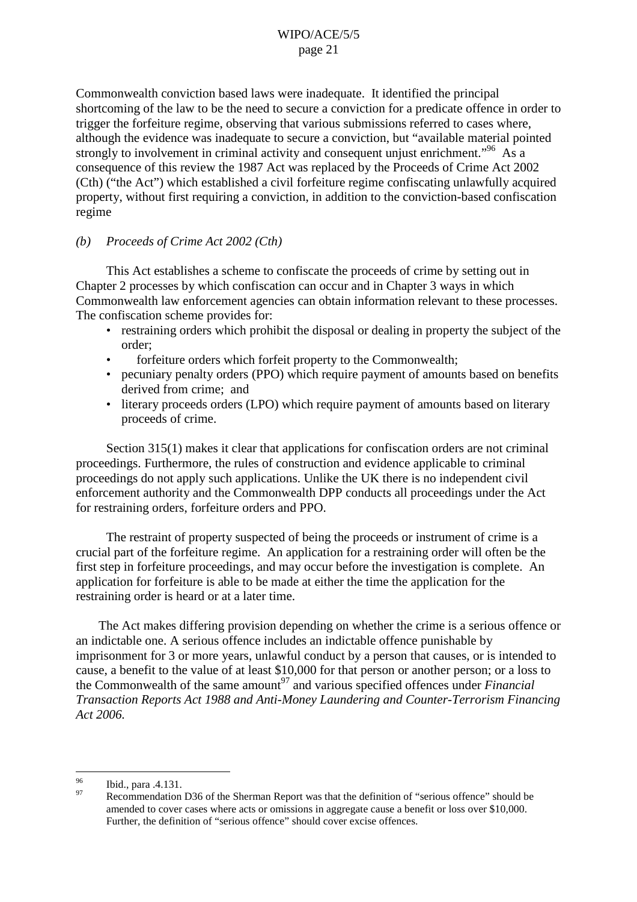Commonwealth conviction based laws were inadequate. It identified the principal shortcoming of the law to be the need to secure a conviction for a predicate offence in order to trigger the forfeiture regime, observing that various submissions referred to cases where, although the evidence was inadequate to secure a conviction, but "available material pointed strongly to involvement in criminal activity and consequent unjust enrichment."<sup>96</sup> As a consequence of this review the 1987 Act was replaced by the Proceeds of Crime Act 2002 (Cth) ("the Act") which established a civil forfeiture regime confiscating unlawfully acquired property, without first requiring a conviction, in addition to the conviction-based confiscation regime

## *(b) Proceeds of Crime Act 2002 (Cth)*

This Act establishes a scheme to confiscate the proceeds of crime by setting out in Chapter 2 processes by which confiscation can occur and in Chapter 3 ways in which Commonwealth law enforcement agencies can obtain information relevant to these processes. The confiscation scheme provides for:

- restraining orders which prohibit the disposal or dealing in property the subject of the order;
- forfeiture orders which forfeit property to the Commonwealth:
- pecuniary penalty orders (PPO) which require payment of amounts based on benefits derived from crime; and
- literary proceeds orders (LPO) which require payment of amounts based on literary proceeds of crime.

Section 315(1) makes it clear that applications for confiscation orders are not criminal proceedings. Furthermore, the rules of construction and evidence applicable to criminal proceedings do not apply such applications. Unlike the UK there is no independent civil enforcement authority and the Commonwealth DPP conducts all proceedings under the Act for restraining orders, forfeiture orders and PPO.

The restraint of property suspected of being the proceeds or instrument of crime is a crucial part of the forfeiture regime. An application for a restraining order will often be the first step in forfeiture proceedings, and may occur before the investigation is complete. An application for forfeiture is able to be made at either the time the application for the restraining order is heard or at a later time.

The Act makes differing provision depending on whether the crime is a serious offence or an indictable one. A serious offence includes an indictable offence punishable by imprisonment for 3 or more years, unlawful conduct by a person that causes, or is intended to cause, a benefit to the value of at least \$10,000 for that person or another person; or a loss to the Commonwealth of the same amount <sup>97</sup> and various specified offences under *Financial Transaction Reports Act 1988 and Anti-Money Laundering and Counter-Terrorism Financing Act 2006.*

<sup>&</sup>lt;sup>96</sup> Ibid., para .4.131.<br><sup>97</sup> Recommendation D36 of the Sherman Report was that the definition of "serious offence" should be amended to cover cases where acts or omissions in aggregate cause a benefit or loss over \$10,000. Further, the definition of "serious offence" should cover excise offences.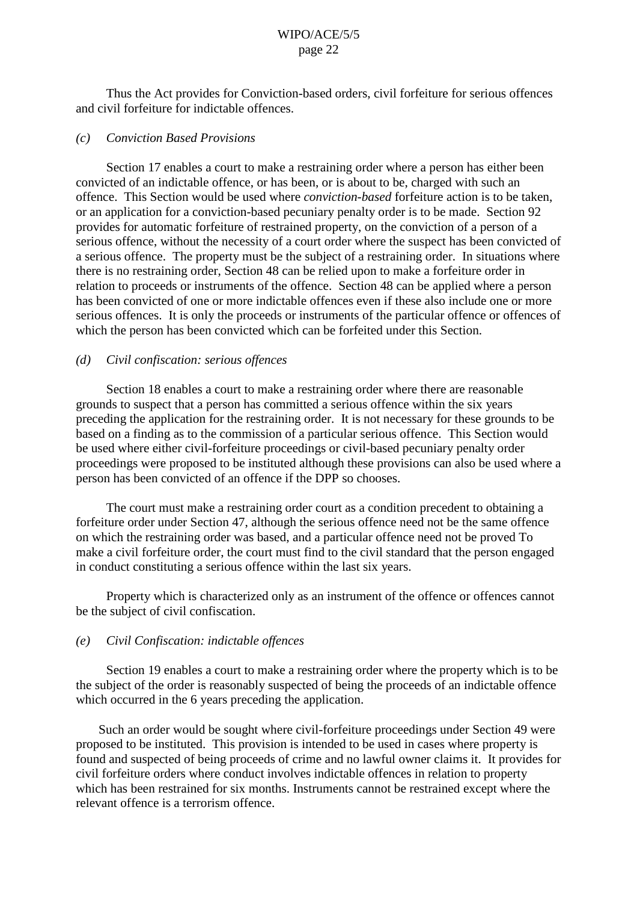Thus the Act provides for Conviction-based orders, civil forfeiture for serious offences and civil forfeiture for indictable offences.

## *(c) Conviction Based Provisions*

Section 17 enables a court to make a restraining order where a person has either been convicted of an indictable offence, or has been, or is about to be, charged with such an offence. This Section would be used where *conviction-based* forfeiture action is to be taken, or an application for a conviction-based pecuniary penalty order is to be made. Section 92 provides for automatic forfeiture of restrained property, on the conviction of a person of a serious offence, without the necessity of a court order where the suspect has been convicted of a serious offence. The property must be the subject of a restraining order. In situations where there is no restraining order, Section 48 can be relied upon to make a forfeiture order in relation to proceeds or instruments of the offence. Section 48 can be applied where a person has been convicted of one or more indictable offences even if these also include one or more serious offences. It is only the proceeds or instruments of the particular offence or offences of which the person has been convicted which can be forfeited under this Section.

## *(d) Civil confiscation: serious offences*

Section 18 enables a court to make a restraining order where there are reasonable grounds to suspect that a person has committed a serious offence within the six years preceding the application for the restraining order. It is not necessary for these grounds to be based on a finding as to the commission of a particular serious offence. This Section would be used where either civil-forfeiture proceedings or civil-based pecuniary penalty order proceedings were proposed to be instituted although these provisions can also be used where a person has been convicted of an offence if the DPP so chooses.

The court must make a restraining order court as a condition precedent to obtaining a forfeiture order under Section 47, although the serious offence need not be the same offence on which the restraining order was based, and a particular offence need not be proved To make a civil forfeiture order, the court must find to the civil standard that the person engaged in conduct constituting a serious offence within the last six years.

Property which is characterized only as an instrument of the offence or offences cannot be the subject of civil confiscation.

#### *(e) Civil Confiscation: indictable offences*

Section 19 enables a court to make a restraining order where the property which is to be the subject of the order is reasonably suspected of being the proceeds of an indictable offence which occurred in the 6 years preceding the application.

Such an order would be sought where civil-forfeiture proceedings under Section 49 were proposed to be instituted. This provision is intended to be used in cases where property is found and suspected of being proceeds of crime and no lawful owner claims it. It provides for civil forfeiture orders where conduct involves indictable offences in relation to property which has been restrained for six months. Instruments cannot be restrained except where the relevant offence is a terrorism offence.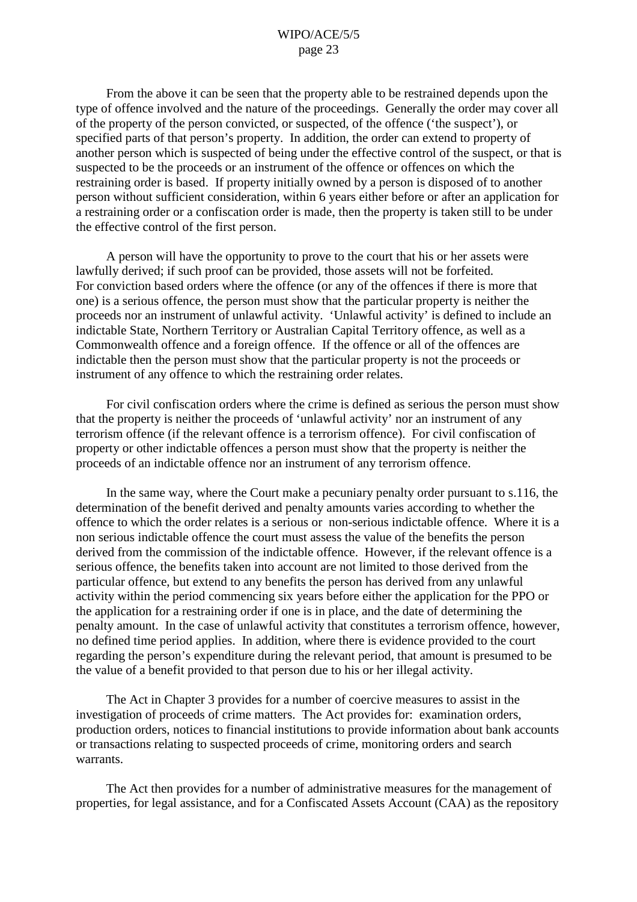From the above it can be seen that the property able to be restrained depends upon the type of offence involved and the nature of the proceedings. Generally the order may cover all of the property of the person convicted, or suspected, of the offence ('the suspect'), or specified parts of that person's property. In addition, the order can extend to property of another person which is suspected of being under the effective control of the suspect, or that is suspected to be the proceeds or an instrument of the offence or offences on which the restraining order is based. If property initially owned by a person is disposed of to another person without sufficient consideration, within 6 years either before or after an application for a restraining order or a confiscation order is made, then the property is taken still to be under the effective control of the first person.

A person will have the opportunity to prove to the court that his or her assets were lawfully derived; if such proof can be provided, those assets will not be forfeited. For conviction based orders where the offence (or any of the offences if there is more that one) is a serious offence, the person must show that the particular property is neither the proceeds nor an instrument of unlawful activity. 'Unlawful activity' is defined to include an indictable State, Northern Territory or Australian Capital Territory offence, as well as a Commonwealth offence and a foreign offence. If the offence or all of the offences are indictable then the person must show that the particular property is not the proceeds or instrument of any offence to which the restraining order relates.

For civil confiscation orders where the crime is defined as serious the person must show that the property is neither the proceeds of 'unlawful activity' nor an instrument of any terrorism offence (if the relevant offence is a terrorism offence). For civil confiscation of property or other indictable offences a person must show that the property is neither the proceeds of an indictable offence nor an instrument of any terrorism offence.

In the same way, where the Court make a pecuniary penalty order pursuant to s.116, the determination of the benefit derived and penalty amounts varies according to whether the offence to which the order relates is a serious or non-serious indictable offence. Where it is a non serious indictable offence the court must assess the value of the benefits the person derived from the commission of the indictable offence. However, if the relevant offence is a serious offence, the benefits taken into account are not limited to those derived from the particular offence, but extend to any benefits the person has derived from any unlawful activity within the period commencing six years before either the application for the PPO or the application for a restraining order if one is in place, and the date of determining the penalty amount. In the case of unlawful activity that constitutes a terrorism offence, however, no defined time period applies. In addition, where there is evidence provided to the court regarding the person's expenditure during the relevant period, that amount is presumed to be the value of a benefit provided to that person due to his or her illegal activity.

The Act in Chapter 3 provides for a number of coercive measures to assist in the investigation of proceeds of crime matters. The Act provides for: examination orders, production orders, notices to financial institutions to provide information about bank accounts or transactions relating to suspected proceeds of crime, monitoring orders and search warrants.

The Act then provides for a number of administrative measures for the management of properties, for legal assistance, and for a Confiscated Assets Account (CAA) as the repository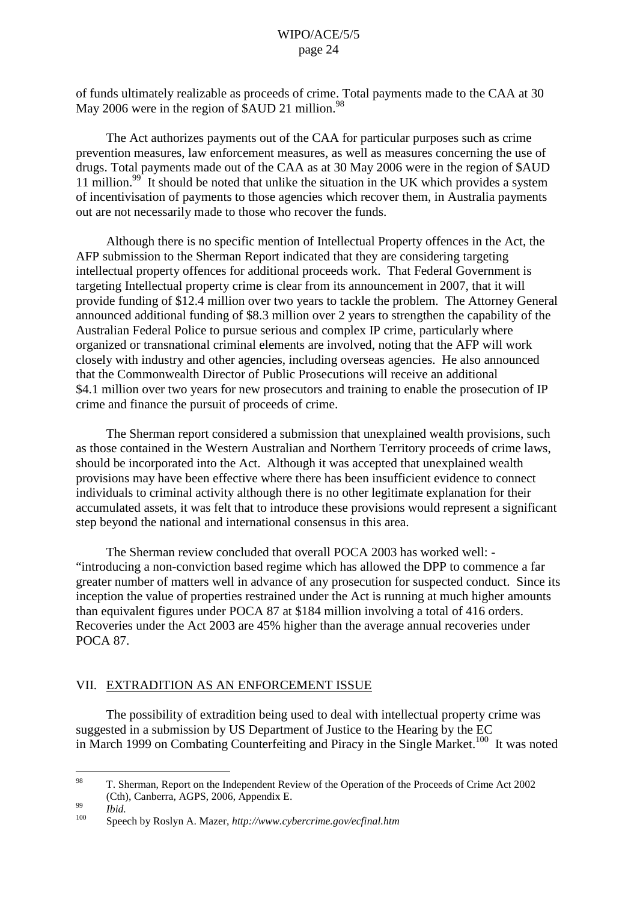of funds ultimately realizable as proceeds of crime. Total payments made to the CAA at 30 May 2006 were in the region of \$AUD 21 million.<sup>98</sup>

The Act authorizes payments out of the CAA for particular purposes such as crime prevention measures, law enforcement measures, as well as measures concerning the use of drugs. Total payments made out of the CAA as at 30 May 2006 were in the region of \$AUD 11 million.<sup>99</sup> It should be noted that unlike the situation in the UK which provides a system of incentivisation of payments to those agencies which recover them, in Australia payments out are not necessarily made to those who recover the funds.

Although there is no specific mention of Intellectual Property offences in the Act, the AFP submission to the Sherman Report indicated that they are considering targeting intellectual property offences for additional proceeds work. That Federal Government is targeting Intellectual property crime is clear from its announcement in 2007, that it will provide funding of \$12.4 million over two years to tackle the problem. The Attorney General announced additional funding of \$8.3 million over 2 years to strengthen the capability of the Australian Federal Police to pursue serious and complex IP crime, particularly where organized or transnational criminal elements are involved, noting that the AFP will work closely with industry and other agencies, including overseas agencies. He also announced that the Commonwealth Director of Public Prosecutions will receive an additional \$4.1 million over two years for new prosecutors and training to enable the prosecution of IP crime and finance the pursuit of proceeds of crime.

The Sherman report considered a submission that unexplained wealth provisions, such as those contained in the Western Australian and Northern Territory proceeds of crime laws, should be incorporated into the Act. Although it was accepted that unexplained wealth provisions may have been effective where there has been insufficient evidence to connect individuals to criminal activity although there is no other legitimate explanation for their accumulated assets, it was felt that to introduce these provisions would represent a significant step beyond the national and international consensus in this area.

The Sherman review concluded that overall POCA 2003 has worked well: - "introducing a non-conviction based regime which has allowed the DPP to commence a far greater number of matters well in advance of any prosecution for suspected conduct. Since its inception the value of properties restrained under the Act is running at much higher amounts than equivalent figures under POCA 87 at \$184 million involving a total of 416 orders. Recoveries under the Act 2003 are 45% higher than the average annual recoveries under POCA 87.

## VII. EXTRADITION AS AN ENFORCEMENT ISSUE

The possibility of extradition being used to deal with intellectual property crime was suggested in a submission by US Department of Justice to the Hearing by the EC in March 1999 on Combating Counterfeiting and Piracy in the Single Market.<sup>100</sup> It was noted

<sup>&</sup>lt;sup>98</sup> T. Sherman, Report on the Independent Review of the Operation of the Proceeds of Crime Act 2002 (Cth), Canberra, AGPS, 2006, Appendix E. <sup>99</sup> *Ibid.* <sup>100</sup> Speech by Roslyn A. Mazer, *http://www.cybercrime.gov/ecfinal.htm*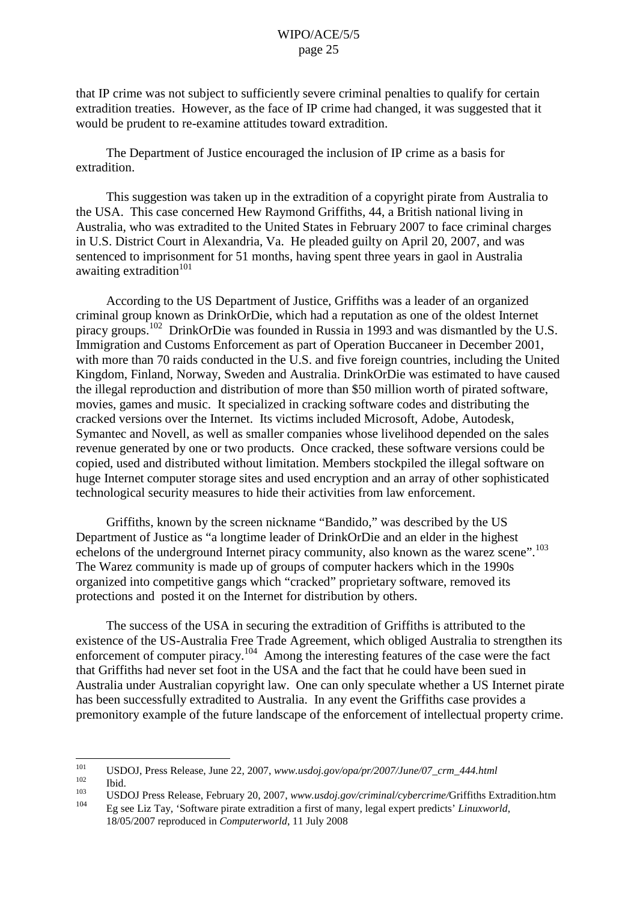that IP crime was not subject to sufficiently severe criminal penalties to qualify for certain extradition treaties. However, as the face of IP crime had changed, it was suggested that it would be prudent to re-examine attitudes toward extradition.

The Department of Justice encouraged the inclusion of IP crime as a basis for extradition.

This suggestion was taken up in the extradition of a copyright pirate from Australia to the USA. This case concerned Hew Raymond Griffiths, 44, a British national living in Australia, who was extradited to the United States in February 2007 to face criminal charges in U.S. District Court in Alexandria, Va. He pleaded guilty on April 20, 2007, and was sentenced to imprisonment for 51 months, having spent three years in gaol in Australia awaiting extradition<sup>101</sup>

According to the US Department of Justice, Griffiths was a leader of an organized criminal group known as DrinkOrDie, which had a reputation as one of the oldest Internet piracy groups.<sup>102</sup> DrinkOrDie was founded in Russia in 1993 and was dismantled by the U.S. Immigration and Customs Enforcement as part of Operation Buccaneer in December 2001, with more than 70 raids conducted in the U.S. and five foreign countries, including the United Kingdom, Finland, Norway, Sweden and Australia. DrinkOrDie was estimated to have caused the illegal reproduction and distribution of more than \$50 million worth of pirated software, movies, games and music. It specialized in cracking software codes and distributing the cracked versions over the Internet. Its victims included Microsoft, Adobe, Autodesk, Symantec and Novell, as well as smaller companies whose livelihood depended on the sales revenue generated by one or two products. Once cracked, these software versions could be copied, used and distributed without limitation. Members stockpiled the illegal software on huge Internet computer storage sites and used encryption and an array of other sophisticated technological security measures to hide their activities from law enforcement.

Griffiths, known by the screen nickname "Bandido," was described by the US Department of Justice as "a longtime leader of DrinkOrDie and an elder in the highest echelons of the underground Internet piracy community, also known as the warez scene".<sup>103</sup> The Warez community is made up of groups of computer hackers which in the 1990s organized into competitive gangs which "cracked" proprietary software, removed its protections and posted it on the Internet for distribution by others.

The success of the USA in securing the extradition of Griffiths is attributed to the existence of the US-Australia Free Trade Agreement, which obliged Australia to strengthen its enforcement of computer piracy.<sup>104</sup> Among the interesting features of the case were the fact that Griffiths had never set foot in the USA and the fact that he could have been sued in Australia under Australian copyright law. One can only speculate whether a US Internet pirate has been successfully extradited to Australia. In any event the Griffiths case provides a premonitory example of the future landscape of the enforcement of intellectual property crime.

<sup>101</sup> USDOJ, Press Release, June 22, 2007, *www.usdoj.gov/opa/pr/2007/June/07\_crm\_444.html*<br>
103 Ibid. USDOJ Press Release, February 20, 2007, *www.usdoj.gov/criminal/cybercrime/Griffiths Extradition.htm* 

<sup>104</sup> Eg see Liz Tay, 'Software pirate extradition a first of many, legal expert predicts' *Linuxworld*, 18/05/2007 reproduced in *Computerworld*, 11 July 2008